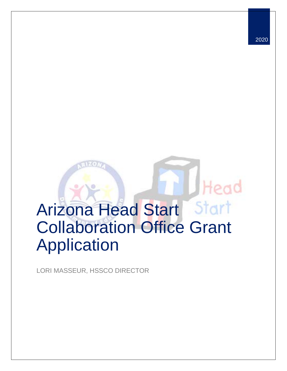# Arizona Head Start Collaboration Office Grant Application

LORI MASSEUR, HSSCO DIRECTOR

Head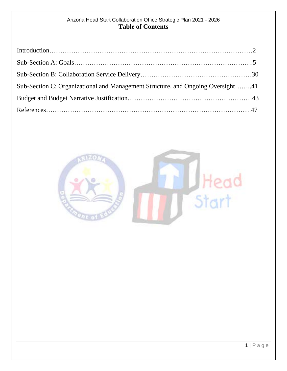# Arizona Head Start Collaboration Office Strategic Plan 2021 - 2026 **Table of Contents**

| Sub-Section C: Organizational and Management Structure, and Ongoing Oversight41 |  |
|---------------------------------------------------------------------------------|--|
|                                                                                 |  |
|                                                                                 |  |

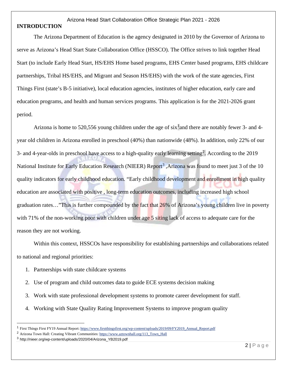#### Arizona Head Start Collaboration Office Strategic Plan 2021 - 2026 **INTRODUCTION**

The Arizona Department of Education is the agency designated in 2010 by the Governor of Arizona to serve as Arizona's Head Start State Collaboration Office (HSSCO). The Office strives to link together Head Start (to include Early Head Start, HS/EHS Home based programs, EHS Center based programs, EHS childcare partnerships, Tribal HS/EHS, and Migrant and Season HS/EHS) with the work of the state agencies, First Things First (state's B-5 initiative), local education agencies, institutes of higher education, early care and education programs, and health and human services programs. This application is for the 2021-2026 grant period.

Arizona is home to 520,556 young children under the age of  $six^1$  $six^1$  and there are notably fewer 3- and 4year old children in Arizona enrolled in preschool (40%) than nationwide (48%). In addition, only 22% of our 3- and 4-year-olds in preschool have access to a high-quality early learning setting<sup>[2](#page-2-1)</sup>. According to the 2019 National Institute for Early Education Research (NIEER) Report<sup>[3](#page-2-2)</sup>, Arizona was found to meet just 3 of the 10 quality indicators for early childhood education. "Early childhood development and enrollment in high quality education are associated with positive , long-term education outcomes, including increased high school graduation rates…"This is further compounded by the fact that 26% of Arizona's young children live in poverty with 71% of the non-working poor with children under age 5 siting lack of access to adequate care for the reason they are not working.

Within this context, HSSCOs have responsibility for establishing partnerships and collaborations related to national and regional priorities:

- 1. Partnerships with state childcare systems
- 2. Use of program and child outcomes data to guide ECE systems decision making
- 3. Work with state professional development systems to promote career development for staff.
- 4. Working with State Quality Rating Improvement Systems to improve program quality

<span id="page-2-0"></span><sup>1</sup> First Things First FY19 Annual Report[: https://www.firstthingsfirst.org/wp-content/uploads/2019/09/FY2019\\_Annual\\_Report.pdf](https://www.firstthingsfirst.org/wp-content/uploads/2019/09/FY2019_Annual_Report.pdf)

<span id="page-2-1"></span><sup>2</sup> Arizona Town Hall: Creating Vibrant Communities[: https://www.aztownhall.org/113\\_Town\\_Hall](https://www.aztownhall.org/113_Town_Hall)

<span id="page-2-2"></span><sup>3</sup> http://nieer.org/wp-content/uploads/2020/04/Arizona\_YB2019.pdf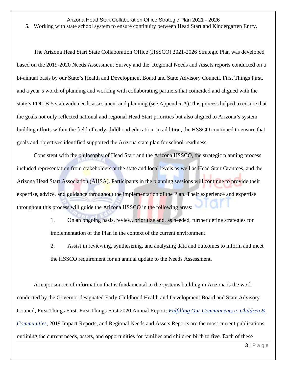5. Working with state school system to ensure continuity between Head Start and Kindergarten Entry.

The Arizona Head Start State Collaboration Office (HSSCO) 2021-2026 Strategic Plan was developed based on the 2019-2020 Needs Assessment Survey and the Regional Needs and Assets reports conducted on a bi-annual basis by our State's Health and Development Board and State Advisory Council, First Things First, and a year's worth of planning and working with collaborating partners that coincided and aligned with the state's PDG B-5 statewide needs assessment and planning (see Appendix A).This process helped to ensure that the goals not only reflected national and regional Head Start priorities but also aligned to Arizona's system building efforts within the field of early childhood education. In addition, the HSSCO continued to ensure that goals and objectives identified supported the Arizona state plan for school-readiness.

Consistent with the philosophy of Head Start and the Arizona HSSCO, the strategic planning process included representation from stakeholders at the state and local levels as well as Head Start Grantees, and the Arizona Head Start Association (AHSA). Participants in the planning sessions will continue to provide their expertise, advice, and guidance throughout the implementation of the Plan. Their experience and expertise throughout this process will guide the Arizona HSSCO in the following areas:

> 1. On an ongoing basis, review, prioritize and, as needed, further define strategies for implementation of the Plan in the context of the current environment.

2. Assist in reviewing, synthesizing, and analyzing data and outcomes to inform and meet the HSSCO requirement for an annual update to the Needs Assessment.

A major source of information that is fundamental to the systems building in Arizona is the work conducted by the Governor designated Early Childhood Health and Development Board and State Advisory Council, First Things First. First Things First 2020 Annual Report: *[Fulfilling Our Commitments to Children &](https://www.firstthingsfirst.org/what-we-do/publications/)  [Communities,](https://www.firstthingsfirst.org/what-we-do/publications/)* 2019 Impact Reports, and Regional Needs and Assets Reports are the most current publications outlining the current needs, assets, and opportunities for families and children birth to five. Each of these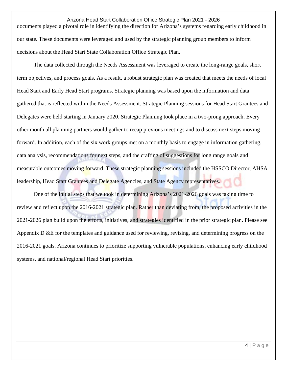Arizona Head Start Collaboration Office Strategic Plan 2021 - 2026 documents played a pivotal role in identifying the direction for Arizona's systems regarding early childhood in our state. These documents were leveraged and used by the strategic planning group members to inform decisions about the Head Start State Collaboration Office Strategic Plan.

The data collected through the Needs Assessment was leveraged to create the long-range goals, short term objectives, and process goals. As a result, a robust strategic plan was created that meets the needs of local Head Start and Early Head Start programs. Strategic planning was based upon the information and data gathered that is reflected within the Needs Assessment. Strategic Planning sessions for Head Start Grantees and Delegates were held starting in January 2020. Strategic Planning took place in a two-prong approach. Every other month all planning partners would gather to recap previous meetings and to discuss next steps moving forward. In addition, each of the six work groups met on a monthly basis to engage in information gathering, data analysis, recommendations for next steps, and the crafting of suggestions for long range goals and measurable outcomes moving forward. These strategic planning sessions included the HSSCO Director, AHSA leadership, Head Start Grantees and Delegate Agencies, and State Agency representatives.

One of the initial steps that we took in determining Arizona's 2021-2026 goals was taking time to review and reflect upon the 2016-2021 strategic plan. Rather than deviating from, the proposed activities in the 2021-2026 plan build upon the efforts, initiatives, and strategies identified in the prior strategic plan. Please see Appendix D &E for the templates and guidance used for reviewing, revising, and determining progress on the 2016-2021 goals. Arizona continues to prioritize supporting vulnerable populations, enhancing early childhood systems, and national/regional Head Start priorities.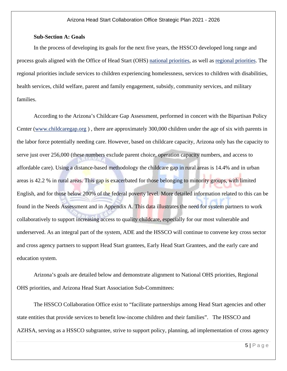#### **Sub-Section A: Goals**

In the process of developing its goals for the next five years, the HSSCO developed long range and process goals aligned with the Office of Head Start (OHS) [national priorities,](https://eclkc.ohs.acf.hhs.gov/about-us/article/head-start-collaboration-offices-national-priorities) as well as regional [priorities.](https://eclkc.ohs.acf.hhs.gov/about-us/article/head-start-collaboration-offices-regional-priorities) The regional priorities include services to children experiencing homelessness, services to children with disabilities, health services, child welfare, parent and family engagement, subsidy, community services, and military families.

According to the Arizona's Childcare Gap Assessment, performed in concert with the Bipartisan Policy Center [\(www.childcaregap.org](http://www.childcaregap.org/) ) , there are approximately 300,000 children under the age of six with parents in the labor force potentially needing care. However, based on childcare capacity, Arizona only has the capacity to serve just over 256,000 (these numbers exclude parent choice, operation capacity numbers, and access to affordable care). Using a distance-based methodology the childcare gap in rural areas is 14.4% and in urban areas is 42.2 % in rural areas. This gap is exacerbated for those belonging to minority groups, with limited English, and for those below 200% of the federal poverty level. More detailed information related to this can be found in the Needs Assessment and in Appendix A. This data illustrates the need for system partners to work collaboratively to support increasing access to quality childcare, especially for our most vulnerable and underserved. As an integral part of the system, ADE and the HSSCO will continue to convene key cross sector and cross agency partners to support Head Start grantees, Early Head Start Grantees, and the early care and education system.

Arizona's goals are detailed below and demonstrate alignment to National OHS priorities, Regional OHS priorities, and Arizona Head Start Association Sub-Committees:

The HSSCO Collaboration Office exist to "facilitate partnerships among Head Start agencies and other state entities that provide services to benefit low-income children and their families". The HSSCO and AZHSA, serving as a HSSCO subgrantee, strive to support policy, planning, ad implementation of cross agency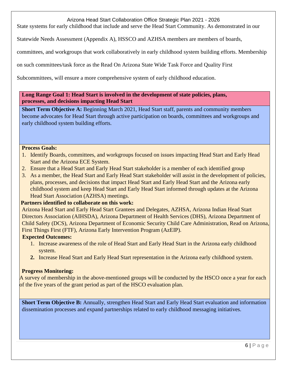State systems for early childhood that include and serve the Head Start Community. As demonstrated in our

Statewide Needs Assessment (Appendix A), HSSCO and AZHSA members are members of boards,

committees, and workgroups that work collaboratively in early childhood system building efforts. Membership

on such committees/task force as the Read On Arizona State Wide Task Force and Quality First

Subcommittees, will ensure a more comprehensive system of early childhood education.

**Long Range Goal 1: Head Start is involved in the development of state policies, plans, processes, and decisions impacting Head Start**

**Short Term Objective A:** Beginning March 2021, Head Start staff, parents and community members become advocates for Head Start through active participation on boards, committees and workgroups and early childhood system building efforts.

#### **Process Goals:**

- 1. Identify Boards, committees, and workgroups focused on issues impacting Head Start and Early Head Start and the Arizona ECE System.
- 2. Ensure that a Head Start and Early Head Start stakeholder is a member of each identified group
- 3. As a member, the Head Start and Early Head Start stakeholder will assist in the development of policies, plans, processes, and decisions that impact Head Start and Early Head Start and the Arizona early childhood system and keep Head Start and Early Head Start informed through updates at the Arizona Head Start Association (AZHSA) meetings.

#### **Partners identified to collaborate on this work:**

Arizona Head Start and Early Head Start Grantees and Delegates, AZHSA, Arizona Indian Head Start Directors Association (AIHSDA), Arizona Department of Health Services (DHS), Arizona Department of Child Safety (DCS), Arizona Department of Economic Security Child Care Administration, Read on Arizona, First Things First (FTF), Arizona Early Intervention Program (AzEIP).

#### **Expected Outcomes:**

- 1. Increase awareness of the role of Head Start and Early Head Start in the Arizona early childhood system.
- **2.** Increase Head Start and Early Head Start representation in the Arizona early childhood system.

#### **Progress Monitoring:**

A survey of membership in the above-mentioned groups will be conducted by the HSCO once a year for each of the five years of the grant period as part of the HSCO evaluation plan.

**Short Term Objective B:** Annually, strengthen Head Start and Early Head Start evaluation and information dissemination processes and expand partnerships related to early childhood messaging initiatives.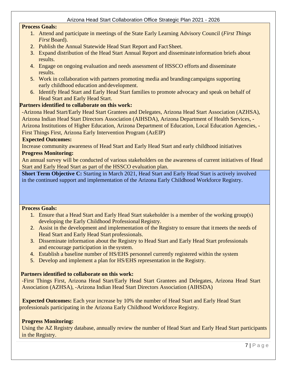#### **Process Goals:**

- 1. Attend and participate in meetings of the State Early Learning Advisory Council (*First Things First* Board).
- 2. Publish the Annual Statewide Head Start Report and Fact Sheet.
- 3. Expand distribution of the Head Start Annual Report and disseminate information briefs about results.
- 4. Engage on ongoing evaluation and needs assessment of HSSCO efforts and disseminate results.
- 5. Work in collaboration with partners promoting media and brandingcampaigns supporting early childhood education and development.
- 6. Identify Head Start and Early Head Start families to promote advocacy and speak on behalf of Head Start and Early Head Start.

#### **Partners identified to collaborate on this work:**

-Arizona Head Start/Early Head Start Grantees and Delegates, Arizona Head Start Association (AZHSA), Arizona Indian Head Start Directors Association (AIHSDA), Arizona Department of Health Services, - Arizona Institutions of Higher Education, Arizona Department of Education, Local Education Agencies, - First Things First, Arizona Early Intervention Program (AzEIP)

#### **Expected Outcomes:**

Increase community awareness of Head Start and Early Head Start and early childhood initiatives **Progress Monitoring:** 

An annual survey will be conducted of various stakeholders on the awareness of current initiatives of Head Start and Early Head Start as part of the HSSCO evaluation plan.

**Short Term Objective C:** Starting in March 2021, Head Start and Early Head Start is actively involved in the continued support and implementation of the Arizona Early Childhood Workforce Registry.

#### **Process Goals:**

- 1. Ensure that a Head Start and Early Head Start stakeholder is a member of the working group(s) developing the Early Childhood Professional Registry.
- 2. Assist in the development and implementation of the Registry to ensure that itmeets the needs of Head Start and Early Head Start professionals.
- 3. Disseminate information about the Registry to Head Start and Early Head Start professionals and encourage participation in the system.
- 4. Establish a baseline number of HS/EHS personnel currently registered within the system
- 5. Develop and implement a plan for HS/EHS representation in the Registry.

#### **Partners identified to collaborate on this work:**

-First Things First, Arizona Head Start/Early Head Start Grantees and Delegates, Arizona Head Start Association (AZHSA), -Arizona Indian Head Start Directors Association (AIHSDA)

 **Expected Outcomes:** Each year increase by 10% the number of Head Start and Early Head Start professionals participating in the Arizona Early Childhood Workforce Registry.

#### **Progress Monitoring:**

Using the AZ Registry database, annually review the number of Head Start and Early Head Start participants in the Registry.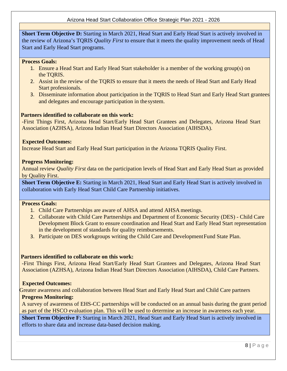**Short Term Objective D:** Starting in March 2021, Head Start and Early Head Start is actively involved in the review of Arizona's TQRIS *Quality First* to ensure that it meets the quality improvement needs of Head Start and Early Head Start programs.

#### **Process Goals:**

- 1. Ensure a Head Start and Early Head Start stakeholder is a member of the working group(s) on the TQRIS.
- 2. Assist in the review of the TQRIS to ensure that it meets the needs of Head Start and Early Head Start professionals.
- 3. Disseminate information about participation in the TQRIS to Head Start and Early Head Start grantees and delegates and encourage participation in the system.

#### **Partners identified to collaborate on this work:**

-First Things First, Arizona Head Start/Early Head Start Grantees and Delegates, Arizona Head Start Association (AZHSA), Arizona Indian Head Start Directors Association (AIHSDA).

#### **Expected Outcomes:**

Increase Head Start and Early Head Start participation in the Arizona TQRIS Quality First.

#### **Progress Monitoring:**

Annual review *Quality First* data on the participation levels of Head Start and Early Head Start as provided by Quality First.

**Short Term Objective E:** Starting in March 2021, Head Start and Early Head Start is actively involved in collaboration with Early Head Start Child Care Partnership initiatives.

#### **Process Goals:**

- 1. Child Care Partnerships are aware of AHSA and attend AHSA meetings.
- 2. Collaborate with Child Care Partnerships and Department of Economic Security (DES) Child Care Development Block Grant to ensure coordination and Head Start and Early Head Start representation in the development of standards for quality reimbursements.
- 3. Participate on DES workgroups writing the Child Care and Development Fund State Plan.

#### **Partners identified to collaborate on this work:**

-First Things First, Arizona Head Start/Early Head Start Grantees and Delegates, Arizona Head Start Association (AZHSA), Arizona Indian Head Start Directors Association (AIHSDA), Child Care Partners.

#### **Expected Outcomes:**

Greater awareness and collaboration between Head Start and Early Head Start and Child Care partners **Progress Monitoring:** 

A survey of awareness of EHS-CC partnerships will be conducted on an annual basis during the grant period as part of the HSCO evaluation plan. This will be used to determine an increase in awareness each year.

**Short Term Objective F:** Starting in March 2021, Head Start and Early Head Start is actively involved in efforts to share data and increase data-based decision making.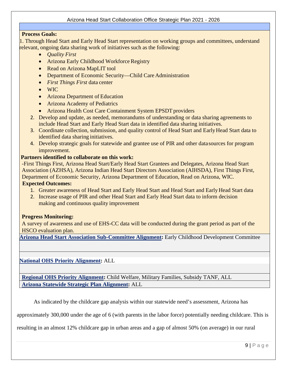#### **Process Goals:**

1. Through Head Start and Early Head Start representation on working groups and committees, understand relevant, ongoing data sharing work of initiatives such as the following:

- *Quality First*
- Arizona Early Childhood Workforce Registry
- Read on Arizona MapLIT tool
- Department of Economic Security—Child Care Administration
- *First Things First* data center
- WIC
- Arizona Department of Education
- Arizona Academy of Pediatrics
- Arizona Health Cost Care Containment System EPSDT providers
- 2. Develop and update, as needed, memorandums of understanding or data sharing agreements to include Head Start and Early Head Start data in identified data sharing initiatives.
- 3. Coordinate collection, submission, and quality control of Head Start and Early Head Start data to identified data sharing initiatives.
- 4. Develop strategic goals for statewide and grantee use of PIR and other datasources for program improvement.

#### **Partners identified to collaborate on this work:**

-First Things First, Arizona Head Start/Early Head Start Grantees and Delegates, Arizona Head Start Association (AZHSA), Arizona Indian Head Start Directors Association (AIHSDA), First Things First, Department of Economic Security, Arizona Department of Education, Read on Arizona, WIC.

#### **Expected Outcomes:**

- 1. Greater awareness of Head Start and Early Head Start and Head Start and Early Head Start data
- 2. Increase usage of PIR and other Head Start and Early Head Start data to inform decision making and continuous quality improvement

#### **Progress Monitoring:**

A survey of awareness and use of EHS-CC data will be conducted during the grant period as part of the HSCO evaluation plan.

**[Arizona Head Start Association Sub-Committee Alignment:](https://www.azheadstart.org/committees.php)** Early Childhood Development Committee

**[National OHS Priority Alignment:](https://eclkc.ohs.acf.hhs.gov/about-us/article/head-start-collaboration-offices-national-priorities)** ALL

**[Regional OHS Priority Alignment:](https://eclkc.ohs.acf.hhs.gov/about-us/article/head-start-collaboration-offices-regional-priorities)** Child Welfare, Military Families, Subsidy TANF, ALL **[Arizona Statewide Strategic Plan Alignment:](https://www.azed.gov/sites/default/files/2019/10/AZ%20Statewide%20Strategic%20Plans%20Crosswalk_Final.pdf?id=5da73b6e03e2b308508fb73e)** ALL

As indicated by the childcare gap analysis within our statewide need's assessment, Arizona has

approximately 300,000 under the age of 6 (with parents in the labor force) potentially needing childcare. This is

resulting in an almost 12% childcare gap in urban areas and a gap of almost 50% (on average) in our rural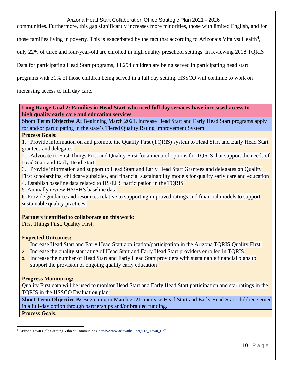communities. Furthermore, this gap significantly increases more minorities, those with limited English, and for

those families living in poverty. This is exacerbated by the fact that according to Arizona's Vitalyst Health<sup>[4](#page-10-0)</sup>,

only 22% of three and four-year-old are enrolled in high quality preschool settings. In reviewing 2018 TQRIS

Data for participating Head Start programs, 14,294 children are being served in participating head start

programs with 31% of those children being served in a full day setting. HSSCO will continue to work on

increasing access to full day care.

#### **Long Range Goal 2: Families in Head Start-who need full day services-have increased access to high quality early care and education services**

**Short Term Objective A:** Beginning March 2021, increase Head Start and Early Head Start programs apply for and/or participating in the state's Tiered Quality Rating Improvement System.

#### **Process Goals:**

1. Provide information on and promote the Quality First (TQRIS) system to Head Start and Early Head Start grantees and delegates.

2. Advocate to First Things First and Quality First for a menu of options for TQRIS that support the needs of Head Start and Early Head Start.

- 3. Provide information and support to Head Start and Early Head Start Grantees and delegates on Quality First scholarships, childcare subsidies, and financial sustainability models for quality early care and education
- 4. Establish baseline data related to HS/EHS participation in the TQRIS
- 5. Annually review HS/EHS baseline data

6. Provide guidance and resources relative to supporting improved ratings and financial models to support sustainable quality practices.

#### **Partners identified to collaborate on this work:**

First Things First, Quality First,

#### **Expected Outcomes:**

- 1. Increase Head Start and Early Head Start application/participation in the Arizona TQRIS Quality First.
- 2. Increase the quality star rating of Head Start and Early Head Start providers enrolled in TQRIS.
- 3. Increase the number of Head Start and Early Head Start providers with sustainable financial plans to support the provision of ongoing quality early education

#### **Progress Monitoring:**

Quality First data will be used to monitor Head Start and Early Head Start participation and star ratings in the TQRIS in the HSSCO Evaluation plan

**Short Term Objective B:** Beginning in March 2021, increase Head Start and Early Head Start children served in a full-day option through partnerships and/or braided funding. **Process Goals:**

<span id="page-10-0"></span><sup>&</sup>lt;sup>4</sup> Arizona Town Hall: Creating Vibrant Communities: https://www.aztownhall.org/113\_Town\_Hall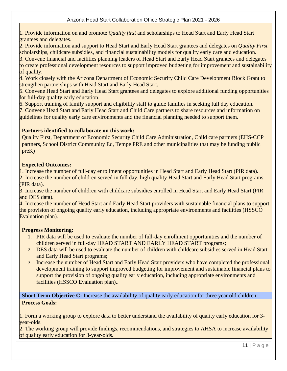1. Provide information on and promote *Quality first* and scholarships to Head Start and Early Head Start grantees and delegates.

2. Provide information and support to Head Start and Early Head Start grantees and delegates on *Quality First*  scholarships, childcare subsidies, and financial sustainability models for quality early care and education.

3. Convene financial and facilities planning leaders of Head Start and Early Head Start grantees and delegates to create professional development resources to support improved budgeting for improvement and sustainability

of quality.

4. Work closely with the Arizona Department of Economic Security Child Care Development Block Grant to strengthen partnerships with Head Start and Early Head Start.

5. Convene Head Start and Early Head Start grantees and delegates to explore additional funding opportunities for full-day quality early education.

6. Support training of family support and eligibility staff to guide families in seeking full day education.

7. Convene Head Start and Early Head Start and Child Care partners to share resources and information on guidelines for quality early care environments and the financial planning needed to support them.

# **Partners identified to collaborate on this work:**

Quality First, Department of Economic Security Child Care Administration, Child care partners (EHS-CCP partners, School District Community Ed, Tempe PRE and other municipalities that may be funding public preK)

# **Expected Outcomes:**

1. Increase the number of full-day enrollment opportunities in Head Start and Early Head Start (PIR data). 2. Increase the number of children served in full day, high quality Head Start and Early Head Start programs (PIR data).

3. Increase the number of children with childcare subsidies enrolled in Head Start and Early Head Start (PIR and DES data).

4. Increase the number of Head Start and Early Head Start providers with sustainable financial plans to support the provision of ongoing quality early education, including appropriate environments and facilities (HSSCO Evaluation plan).

#### **Progress Monitoring:**

- 1. PIR data will be used to evaluate the number of full-day enrollment opportunities and the number of children served in full-day HEAD START AND EARLY HEAD START programs;
- 2. DES data will be used to evaluate the number of children with childcare subsidies served in Head Start and Early Head Start programs;
- 3. Increase the number of Head Start and Early Head Start providers who have completed the professional development training to support improved budgeting for improvement and sustainable financial plans to support the provision of ongoing quality early education, including appropriate environments and facilities (HSSCO Evaluation plan)..

**Short Term Objective C:** Increase the availability of quality early education for three year old children. **Process Goals:**

1. Form a working group to explore data to better understand the availability of quality early education for 3 year-olds.

2. The working group will provide findings, recommendations, and strategies to AHSA to increase availability of quality early education for 3-year-olds.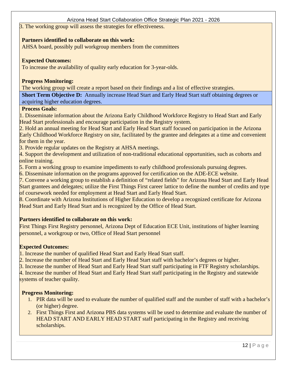3. The working group will assess the strategies for effectiveness.

#### **Partners identified to collaborate on this work:**

AHSA board, possibly pull workgroup members from the committees

#### **Expected Outcomes:**

To increase the availability of quality early education for 3-year-olds.

# **Progress Monitoring:**

The working group will create a report based on their findings and a list of effective strategies.

**Short Term Objective D:** Annually increase Head Start and Early Head Start staff obtaining degrees or acquiring higher education degrees.

# **Process Goals:**

1. Disseminate information about the Arizona Early Childhood Workforce Registry to Head Start and Early Head Start professionals and encourage participation in the Registry system.

2. Hold an annual meeting for Head Start and Early Head Start staff focused on participation in the Arizona Early Childhood Workforce Registry on site, facilitated by the grantee and delegates at a time and convenient for them in the year.

3. Provide regular updates on the Registry at AHSA meetings.

4. Support the development and utilization of non-traditional educational opportunities, such as cohorts and online training.

5. Form a working group to examine impediments to early childhood professionals pursuing degrees.

6. Disseminate information on the programs approved for certification on the ADE-ECE website.

7. Convene a working group to establish a definition of "related fields" for Arizona Head Start and Early Head Start grantees and delegates; utilize the First Things First career lattice to define the number of credits and type of coursework needed for employment at Head Start and Early Head Start.

8. Coordinate with Arizona Institutions of Higher Education to develop a recognized certificate for Arizona Head Start and Early Head Start and is recognized by the Office of Head Start.

# **Partners identified to collaborate on this work:**

First Things First Registry personnel, Arizona Dept of Education ECE Unit, institutions of higher learning personnel, a workgroup or two, Office of Head Start personnel

# **Expected Outcomes:**

1. Increase the number of qualified Head Start and Early Head Start staff.

2. Increase the number of Head Start and Early Head Start staff with bachelor's degrees or higher.

3. Increase the number of Head Start and Early Head Start staff participating in FTF Registry scholarships.

4. Increase the number of Head Start and Early Head Start staff participating in the Registry and statewide

systems of teacher quality.

# **Progress Monitoring:**

- 1. PIR data will be used to evaluate the number of qualified staff and the number of staff with a bachelor's (or higher) degree.
- 2. First Things First and Arizona PBS data systems will be used to determine and evaluate the number of HEAD START AND EARLY HEAD START staff participating in the Registry and receiving scholarships.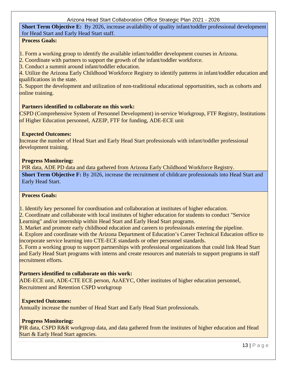**Short Term Objective E:** By 2026, increase availability of quality infant/toddler professional development for Head Start and Early Head Start staff.

# **Process Goals:**

1. Form a working group to identify the available infant/toddler development courses in Arizona.

2. Coordinate with partners to support the growth of the infant/toddler workforce.

3. Conduct a summit around infant/toddler education.

4. Utilize the Arizona Early Childhood Workforce Registry to identify patterns in infant/toddler education and qualifications in the state.

5. Support the development and utilization of non-traditional educational opportunities, such as cohorts and online training.

# **Partners identified to collaborate on this work:**

CSPD (Comprehensive System of Personnel Development) in-service Workgroup, FTF Registry, Institutions of Higher Education personnel, AZEIP, FTF for funding, ADE-ECE unit

# **Expected Outcomes:**

Increase the number of Head Start and Early Head Start professionals with infant/toddler professional development training.

#### **Progress Monitoring:**

PIR data, ADE PD data and data gathered from Arizona Early Childhood Workforce Registry. **Short Term Objective F:** By 2026, increase the recruitment of childcare professionals into Head Start and Early Head Start.

#### **Process Goals:**

1. Identify key personnel for coordination and collaboration at institutes of higher education.

2. Coordinate and collaborate with local institutes of higher education for students to conduct "Service Learning" and/or internship within Head Start and Early Head Start programs.

3. Market and promote early childhood education and careers to professionals entering the pipeline.

4. Explore and coordinate with the Arizona Department of Education's Career Technical Education office to incorporate service learning into CTE-ECE standards or other personnel standards.

5. Form a working group to support partnerships with professional organizations that could link Head Start and Early Head Start programs with interns and create resources and materials to support programs in staff recruitment efforts.

#### **Partners identified to collaborate on this work:**

ADE-ECE unit, ADE-CTE ECE person, AzAEYC, Other institutes of higher education personnel, Recruitment and Retention CSPD workgroup

# **Expected Outcomes:**

Annually increase the number of Head Start and Early Head Start professionals.

# **Progress Monitoring:**

PIR data, CSPD R&R workgroup data, and data gathered from the institutes of higher education and Head Start & Early Head Start agencies.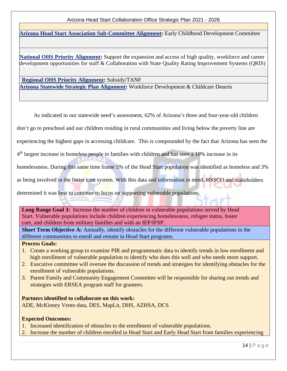**[Arizona Head Start Association Sub-Committee Alignment:](https://www.azheadstart.org/committees.php)** Early Childhood Development Committee

**[National OHS Priority Alignment:](https://eclkc.ohs.acf.hhs.gov/about-us/article/head-start-collaboration-offices-national-priorities)** Support the expansion and access of high quality, workforce and career development opportunities for staff & Collaboration with State Quality Rating Improvement Systems (QRIS)

**[Regional OHS Priority Alignment:](https://eclkc.ohs.acf.hhs.gov/about-us/article/head-start-collaboration-offices-regional-priorities)** Subsidy/TANF **[Arizona Statewide Strategic Plan Alignment:](https://www.azed.gov/sites/default/files/2019/10/AZ%20Statewide%20Strategic%20Plans%20Crosswalk_Final.pdf?id=5da73b6e03e2b308508fb73e)** Workforce Development & Childcare Deserts

As indicated in our statewide need's assessment, 62% of Arizona's three and four-year-old children

don't go to preschool and our children residing in rural communities and living below the poverty line are

experiencing the highest gaps in accessing childcare. This is compounded by the fact that Arizona has seen the

4th largest increase in homeless people in families with children and has seen a 10% increase in its

homelessness. During this same time frame 5% of the Head Start population was identified as homeless and 3%

as being involved in the foster care system. With this data and information in mind, HSSCO and stakeholders

determined it was best to continue to focus on supporting vulnerable populations.

Long Range Goal 3: Increase the number of children in vulnerable populations served by Head Start. Vulnerable populations include children experiencing homelessness, refugee status, foster care, and children from military families and with an IEP/IFSP.

**Short Term Objective A:** Annually, identify obstacles for the different vulnerable populations in the different communities to enroll and remain in Head Start programs.

**Process Goals:**

- 1. Create a working group to examine PIR and programmatic data to identify trends in low enrollment and high enrollment of vulnerable population to identify who does this well and who needs more support.
- 2. Executive committee will oversee the discussion of trends and strategies for identifying obstacles for the enrollment of vulnerable populations.
- 3. Parent Family and Community Engagement Committee will be responsible for sharing out trends and strategies with ERSEA program staff for grantees.

**Partners identified to collaborate on this work:** 

ADE, McKinney Vento data, DES, MapLit, DHS, AZHSA, DCS

#### **Expected Outcomes:**

- 1. Increased identification of obstacles to the enrollment of vulnerable populations.
- 2. Increase the number of children enrolled in Head Start and Early Head Start from families experiencing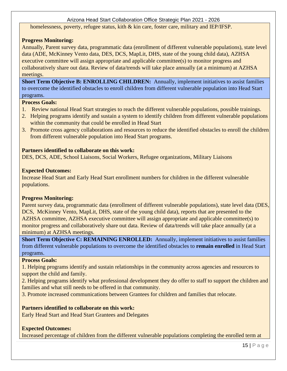homelessness, poverty, refugee status, kith & kin care, foster care, military and IEP/IFSP.

# **Progress Monitoring:**

Annually, Parent survey data, programmatic data (enrollment of different vulnerable populations), state level data (ADE, McKinney Vento data, DES, DCS, MapLit, DHS, state of the young child data), AZHSA executive committee will assign appropriate and applicable committee(s) to monitor progress and collaboratively share out data. Review of data/trends will take place annually (at a minimum) at AZHSA meetings.

**Short Term Objective B: ENROLLING CHILDREN:** Annually, implement initiatives to assist families to overcome the identified obstacles to enroll children from different vulnerable population into Head Start programs.

#### **Process Goals:**

- 1. Review national Head Start strategies to reach the different vulnerable populations, possible trainings.
- 2. Helping programs identify and sustain a system to identify children from different vulnerable populations within the community that could be enrolled in Head Start
- 3. Promote cross agency collaborations and resources to reduce the identified obstacles to enroll the children from different vulnerable population into Head Start programs.

# **Partners identified to collaborate on this work:**

DES, DCS, ADE, School Liaisons, Social Workers, Refugee organizations, Military Liaisons

# **Expected Outcomes:**

Increase Head Start and Early Head Start enrollment numbers for children in the different vulnerable populations.

#### **Progress Monitoring:**

Parent survey data, programmatic data (enrollment of different vulnerable populations), state level data (DES, DCS, McKinney Vento, MapLit, DHS, state of the young child data), reports that are presented to the AZHSA committee, AZHSA executive committee will assign appropriate and applicable committee(s) to monitor progress and collaboratively share out data. Review of data/trends will take place annually (at a minimum) at AZHSA meetings.

**Short Term Objective C: REMAINING ENROLLED:** Annually, implement initiatives to assist families from different vulnerable populations to overcome the identified obstacles to **remain enrolled** in Head Start programs.

# **Process Goals:**

1. Helping programs identify and sustain relationships in the community across agencies and resources to support the child and family.

2. Helping programs identify what professional development they do offer to staff to support the children and families and what still needs to be offered in that community.

3. Promote increased communications between Grantees for children and families that relocate.

# **Partners identified to collaborate on this work:**

Early Head Start and Head Start Grantees and Delegates

# **Expected Outcomes:**

Increased percentage of children from the different vulnerable populations completing the enrolled term at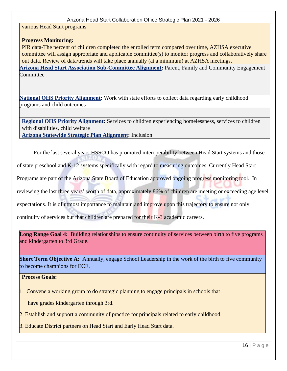various Head Start programs.

#### **Progress Monitoring:**

PIR data-The percent of children completed the enrolled term compared over time, AZHSA executive committee will assign appropriate and applicable committee(s) to monitor progress and collaboratively share out data. Review of data/trends will take place annually (at a minimum) at AZHSA meetings. **[Arizona Head Start Association Sub-Committee Alignment:](https://www.azheadstart.org/committees.php)** Parent, Family and Community Engagement Committee

**[National OHS Priority Alignment:](https://eclkc.ohs.acf.hhs.gov/about-us/article/head-start-collaboration-offices-national-priorities)** Work with state efforts to collect data regarding early childhood programs and child outcomes

**[Regional OHS Priority Alignment:](https://eclkc.ohs.acf.hhs.gov/about-us/article/head-start-collaboration-offices-regional-priorities)** Services to children experiencing homelessness, services to children with disabilities, child welfare **[Arizona Statewide Strategic Plan Alignment:](https://www.azed.gov/sites/default/files/2019/10/AZ%20Statewide%20Strategic%20Plans%20Crosswalk_Final.pdf?id=5da73b6e03e2b308508fb73e)** Inclusion

For the last several years HSSCO has promoted interoperability between Head Start systems and those

of state preschool and K-12 systems specifically with regard to measuring outcomes. Currently Head Start

Programs are part of the Arizona State Board of Education approved ongoing progress monitoring tool. In

reviewing the last three years' worth of data, approximately 86% of children are meeting or exceeding age level

expectations. It is of utmost importance to maintain and improve upon this trajectory to ensure not only

continuity of services but that children are prepared for their K-3 academic careers.

Long Range Goal 4: Building relationships to ensure continuity of services between birth to five programs and kindergarten to 3rd Grade.

**Short Term Objective A:** Annually, engage School Leadership in the work of the birth to five community to become champions for ECE.

**Process Goals:**

1. Convene a working group to do strategic planning to engage principals in schools that

have grades kindergarten through 3rd.

2. Establish and support a community of practice for principals related to early childhood.

3. Educate District partners on Head Start and Early Head Start data.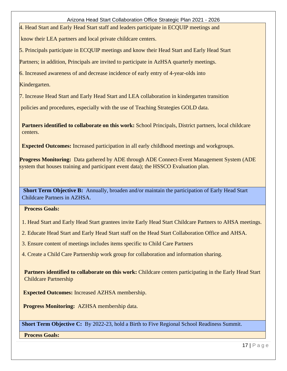4. Head Start and Early Head Start staff and leaders participate in ECQUIP meetings and

know their LEA partners and local private childcare centers.

5. Principals participate in ECQUIP meetings and know their Head Start and Early Head Start

Partners; in addition, Principals are invited to participate in AzHSA quarterly meetings.

6. Increased awareness of and decrease incidence of early entry of 4-year-olds into

Kindergarten.

7. Increase Head Start and Early Head Start and LEA collaboration in kindergarten transition

policies and procedures, especially with the use of Teaching Strategies GOLD data.

**Partners identified to collaborate on this work:** School Principals, District partners, local childcare centers.

**Expected Outcomes:** Increased participation in all early childhood meetings and workgroups.

**Progress Monitoring:** Data gathered by ADE through ADE Connect-Event Management System (ADE system that houses training and participant event data); the HSSCO Evaluation plan.

**Short Term Objective B:** Annually, broaden and/or maintain the participation of Early Head Start Childcare Partners in AZHSA.

**Process Goals:**

1. Head Start and Early Head Start grantees invite Early Head Start Childcare Partners to AHSA meetings.

2. Educate Head Start and Early Head Start staff on the Head Start Collaboration Office and AHSA.

3. Ensure content of meetings includes items specific to Child Care Partners

4. Create a Child Care Partnership work group for collaboration and information sharing.

**Partners identified to collaborate on this work:** Childcare centers participating in the Early Head Start Childcare Partnership

**Expected Outcomes:** Increased AZHSA membership.

**Progress Monitoring:** AZHSA membership data.

**Short Term Objective C:** By 2022-23, hold a Birth to Five Regional School Readiness Summit.

**Process Goals:**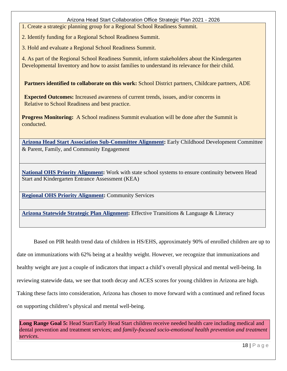1. Create a strategic planning group for a Regional School Readiness Summit.

2. Identify funding for a Regional School Readiness Summit.

3. Hold and evaluate a Regional School Readiness Summit.

4. As part of the Regional School Readiness Summit, inform stakeholders about the Kindergarten Developmental Inventory and how to assist families to understand its relevance for their child.

**Partners identified to collaborate on this work:** School District partners, Childcare partners, ADE

**Expected Outcomes:** Increased awareness of current trends, issues, and/or concerns in Relative to School Readiness and best practice.

**Progress Monitoring:** A School readiness Summit evaluation will be done after the Summit is conducted.

**[Arizona Head Start Association Sub-Committee Alignment:](https://www.azheadstart.org/committees.php)** Early Childhood Development Committee & Parent, Family, and Community Engagement

**[National OHS Priority Alignment:](https://eclkc.ohs.acf.hhs.gov/about-us/article/head-start-collaboration-offices-national-priorities)** Work with state school systems to ensure continuity between Head Start and Kindergarten Entrance Assessment (KEA)

**[Regional OHS Priority Alignment:](https://eclkc.ohs.acf.hhs.gov/about-us/article/head-start-collaboration-offices-regional-priorities)** Community Services

**[Arizona Statewide Strategic Plan Alignment:](https://www.azed.gov/sites/default/files/2019/10/AZ%20Statewide%20Strategic%20Plans%20Crosswalk_Final.pdf?id=5da73b6e03e2b308508fb73e)** Effective Transitions & Language & Literacy

Based on PIR health trend data of children in HS/EHS, approximately 90% of enrolled children are up to date on immunizations with 62% being at a healthy weight. However, we recognize that immunizations and healthy weight are just a couple of indicators that impact a child's overall physical and mental well-being. In reviewing statewide data, we see that tooth decay and ACES scores for young children in Arizona are high. Taking these facts into consideration, Arizona has chosen to move forward with a continued and refined focus on supporting children's physical and mental well-being.

Long Range Goal 5: Head Start/Early Head Start children receive needed health care including medical and dental prevention and treatment services; and *family-focused socio-emotional health prevention and treatment services.*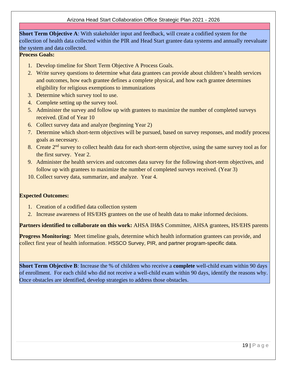**Short Term Objective A**: With stakeholder input and feedback, will create a codified system for the collection of health data collected within the PIR and Head Start grantee data systems and annually reevaluate the system and data collected.

# **Process Goals:**

- 1. Develop timeline for Short Term Objective A Process Goals.
- 2. Write survey questions to determine what data grantees can provide about children's health services and outcomes, how each grantee defines a complete physical, and how each grantee determines eligibility for religious exemptions to immunizations
- 3. Determine which survey tool to use.
- 4. Complete setting up the survey tool.
- 5. Administer the survey and follow up with grantees to maximize the number of completed surveys received. (End of Year 10
- 6. Collect survey data and analyze (beginning Year 2)
- 7. Determine which short-term objectives will be pursued, based on survey responses, and modify process goals as necessary.
- 8. Create 2<sup>nd</sup> survey to collect health data for each short-term objective, using the same survey tool as for the first survey. Year 2.
- 9. Administer the health services and outcomes data survey for the following short-term objectives, and follow up with grantees to maximize the number of completed surveys received. (Year 3)
- 10. Collect survey data, summarize, and analyze. Year 4.

#### **Expected Outcomes:**

- 1. Creation of a codified data collection system
- 2. Increase awareness of HS/EHS grantees on the use of health data to make informed decisions.

**Partners identified to collaborate on this work:** AHSA IH&S Committee, AHSA grantees, HS/EHS parents

**Progress Monitoring:** Meet timeline goals, determine which health information grantees can provide, and collect first year of health information. HSSCO Survey, PIR, and partner program-specific data.

**Short Term Objective B**: Increase the % of children who receive a **complete** well-child exam within 90 days of enrollment. For each child who did not receive a well-child exam within 90 days, identify the reasons why. Once obstacles are identified, develop strategies to address those obstacles.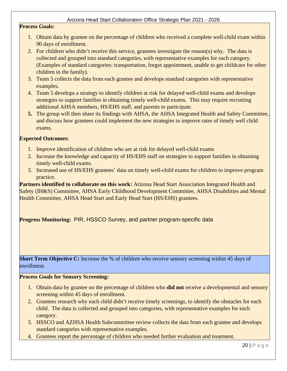#### **Process Goals:**

- 1. Obtain data by grantee on the percentage of children who received a complete well-child exam within 90 days of enrollment.
- 2. For children who didn't receive this service, grantees investigate the reason(s) why. The data is collected and grouped into standard categories, with representative examples for each category. (Examples of standard categories: transportation, forgot appointment, unable to get childcare for other children in the family).
- 3. Team 5 collects the data from each grantee and develops standard categories with representative examples.
- 4. Team 5 develops a strategy to identify children at risk for delayed well-child exams and develops strategies to support families in obtaining timely well-child exams. This may require recruiting additional AHSA members, HS/EHS staff, and parents to participate.
- **5.** The group will then share its findings with AHSA, the AHSA Integrated Health and Safety Committee, and discuss how grantees could implement the new strategies to improve rates of timely well child exams.

#### **Expected Outcomes:**

- 1. Improve identification of children who are at risk for delayed well-child exams
- 2. Increase the knowledge and capacity of HS/EHS staff on strategies to support families in obtaining timely well-child exams.
- 3. Increased use of HS/EHS grantees' data on timely well-child exams for children to improve program practice.

**Partners identified to collaborate on this work:** Arizona Head Start Association Integrated Health and Safety (IH&S) Committee, AHSA Early Childhood Development Committee, AHSA Disabilities and Mental Health Committee, AHSA Head Start and Early Head Start (HS/EHS) grantees.

**Progress Monitoring:** PIR, HSSCO Survey, and partner program-specific data

**Short Term Objective C:** Increase the % of children who receive sensory screening within 45 days of enrollment.

#### **Process Goals for Sensory Screening:**

- 1. Obtain data by grantee on the percentage of children who **did not** receive a developmental and sensory screening within 45 days of enrollment.
- 2. Grantees research why each child didn't receive timely screenings, to identify the obstacles for each child. The data is collected and grouped into categories, with representative examples for each category.
- 3. HSSCO and AZHSA Health Subcommittee review collects the data from each grantee and develops standard categories with representative examples.
- 4. Grantees report the percentage of children who needed further evaluation and treatment.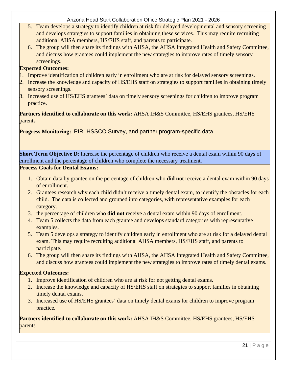- 5. Team develops a strategy to identify children at risk for delayed developmental and sensory screening and develops strategies to support families in obtaining these services. This may require recruiting additional AHSA members, HS/EHS staff, and parents to participate.
- 6. The group will then share its findings with AHSA, the AHSA Integrated Health and Safety Committee, and discuss how grantees could implement the new strategies to improve rates of timely sensory screenings.

# **Expected Outcomes:**

- 1. Improve identification of children early in enrollment who are at risk for delayed sensory screenings.
- 2. Increase the knowledge and capacity of HS/EHS staff on strategies to support families in obtaining timely sensory screenings.
- 3. Increased use of HS/EHS grantees' data on timely sensory screenings for children to improve program practice.

# **Partners identified to collaborate on this work:** AHSA IH&S Committee, HS/EHS grantees, HS/EHS parents

**Progress Monitoring:** PIR, HSSCO Survey, and partner program-specific data

**Short Term Objective D**: Increase the percentage of children who receive a dental exam within 90 days of enrollment and the percentage of children who complete the necessary treatment.

#### **Process Goals for Dental Exams:**

- 1. Obtain data by grantee on the percentage of children who **did not** receive a dental exam within 90 days of enrollment.
- 2. Grantees research why each child didn't receive a timely dental exam, to identify the obstacles for each child. The data is collected and grouped into categories, with representative examples for each category.
- 3. the percentage of children who **did not** receive a dental exam within 90 days of enrollment.
- 4. Team 5 collects the data from each grantee and develops standard categories with representative examples.
- 5. Team 5 develops a strategy to identify children early in enrollment who are at risk for a delayed dental exam. This may require recruiting additional AHSA members, HS/EHS staff, and parents to participate.
- 6. The group will then share its findings with AHSA, the AHSA Integrated Health and Safety Committee, and discuss how grantees could implement the new strategies to improve rates of timely dental exams.

#### **Expected Outcomes:**

- 1. Improve identification of children who are at risk for not getting dental exams.
- 2. Increase the knowledge and capacity of HS/EHS staff on strategies to support families in obtaining timely dental exams.
- 3. Increased use of HS/EHS grantees' data on timely dental exams for children to improve program practice.

**Partners identified to collaborate on this work:** AHSA IH&S Committee, HS/EHS grantees, HS/EHS parents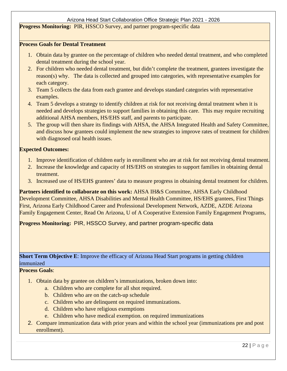**Progress Monitoring:** PIR, HSSCO Survey, and partner program-specific data

#### **Process Goals for Dental Treatment**

- 1. Obtain data by grantee on the percentage of children who needed dental treatment, and who completed dental treatment during the school year.
- 2. For children who needed dental treatment, but didn't complete the treatment, grantees investigate the reason(s) why. The data is collected and grouped into categories, with representative examples for each category.
- 3. Team 5 collects the data from each grantee and develops standard categories with representative examples.
- 4. Team 5 develops a strategy to identify children at risk for not receiving dental treatment when it is needed and develops strategies to support families in obtaining this care. This may require recruiting additional AHSA members, HS/EHS staff, and parents to participate.
- 5. The group will then share its findings with AHSA, the AHSA Integrated Health and Safety Committee, and discuss how grantees could implement the new strategies to improve rates of treatment for children with diagnosed oral health issues.

#### **Expected Outcomes:**

- 1. Improve identification of children early in enrollment who are at risk for not receiving dental treatment.
- 2. Increase the knowledge and capacity of HS/EHS on strategies to support families in obtaining dental treatment.
- 3. Increased use of HS/EHS grantees' data to measure progress in obtaining dental treatment for children.

Partners identified to collaborate on this work: AHSA IH&S Committee, AHSA Early Childhood Development Committee, AHSA Disabilities and Mental Health Committee, HS/EHS grantees, First Things First, Arizona Early Childhood Career and Professional Development Network, AZDE, AZDE Arizona Family Engagement Center, Read On Arizona, U of A Cooperative Extension Family Engagement Programs,

**Progress Monitoring:** PIR, HSSCO Survey, and partner program-specific data

**Short Term Objective E:** Improve the efficacy of Arizona Head Start programs in getting children immunized

#### **Process Goals**:

- 1. Obtain data by grantee on children's immunizations, broken down into:
	- a. Children who are complete for all shot required.
	- b. Children who are on the catch-up schedule
	- c. Children who are delinquent on required immunizations.
	- d. Children who have religious exemptions
	- e. Children who have medical exemption. on required immunizations
- 2. Compare immunization data with prior years and within the school year (immunizations pre and post enrollment).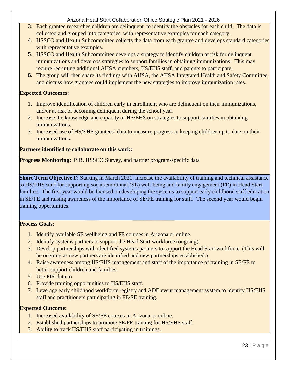- 3. Each grantee researches children are delinquent, to identify the obstacles for each child. The data is collected and grouped into categories, with representative examples for each category.
- 4. HSSCO and Health Subcommittee collects the data from each grantee and develops standard categories with representative examples.
- 5. HSSCO and Health Subcommittee develops a strategy to identify children at risk for delinquent immunizations and develops strategies to support families in obtaining immunizations. This may require recruiting additional AHSA members, HS/EHS staff, and parents to participate.
- **6.** The group will then share its findings with AHSA, the AHSA Integrated Health and Safety Committee, and discuss how grantees could implement the new strategies to improve immunization rates.

# **Expected Outcomes:**

- 1. Improve identification of children early in enrollment who are delinquent on their immunizations, and/or at risk of becoming delinquent during the school year.
- 2. Increase the knowledge and capacity of HS/EHS on strategies to support families in obtaining immunizations.
- 3. Increased use of HS/EHS grantees' data to measure progress in keeping children up to date on their immunizations.

# **Partners identified to collaborate on this work:**

**Progress Monitoring:** PIR, HSSCO Survey, and partner program-specific data

**Short Term Objective F**: Starting in March 2021, increase the availability of training and technical assistance to HS/EHS staff for supporting social/emotional (SE) well-being and family engagement (FE) in Head Start families. The first year would be focused on developing the systems to support early childhood staff education in SE/FE and raising awareness of the importance of SE/FE training for staff. The second year would begin training opportunities.

#### **Process Goals**:

- 1. Identify available SE wellbeing and FE courses in Arizona or online.
- 2. Identify systems partners to support the Head Start workforce (ongoing).
- 3. Develop partnerships with identified systems partners to support the Head Start workforce. (This will be ongoing as new partners are identified and new partnerships established.)
- 4. Raise awareness among HS/EHS management and staff of the importance of training in SE/FE to better support children and families.
- 5. Use PIR data to
- 6. Provide training opportunities to HS/EHS staff.
- 7. Leverage early childhood workforce registry and ADE event management system to identify HS/EHS staff and practitioners participating in FE/SE training.

#### **Expected Outcome:**

- 1. Increased availability of SE/FE courses in Arizona or online.
- 2. Established partnerships to promote SE/FE training for HS/EHS staff.
- 3. Ability to track HS/EHS staff participating in trainings.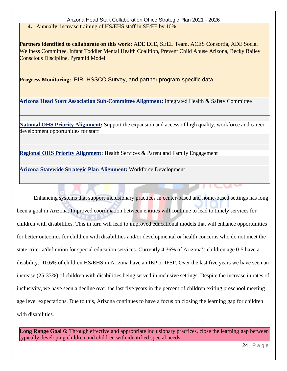**4.** Annually, increase training of HS/EHS staff in SE/FE by 10%.

**Partners identified to collaborate on this work:** ADE ECE, SEEL Team, ACES Consortia, ADE Social Wellness Committee, Infant Toddler Mental Health Coalition, Prevent Child Abuse Arizona, Becky Bailey Conscious Discipline, Pyramid Model.

**Progress Monitoring:** PIR, HSSCO Survey, and partner program-specific data

**[Arizona Head Start Association Sub-Committee Alignment:](https://www.azheadstart.org/committees.php)** Integrated Health & Safety Committee

**[National OHS Priority Alignment:](https://eclkc.ohs.acf.hhs.gov/about-us/article/head-start-collaboration-offices-national-priorities)** Support the expansion and access of high quality, workforce and career development opportunities for staff

**[Regional OHS Priority Alignment:](https://eclkc.ohs.acf.hhs.gov/about-us/article/head-start-collaboration-offices-regional-priorities)** Health Services & Parent and Family Engagement

**[Arizona Statewide Strategic Plan Alignment:](https://www.azed.gov/sites/default/files/2019/10/AZ%20Statewide%20Strategic%20Plans%20Crosswalk_Final.pdf?id=5da73b6e03e2b308508fb73e)** Workforce Development

Enhancing systems that support inclusionary practices in center-based and home-based settings has long been a goal in Arizona. Improved coordination between entities will continue to lead to timely services for children with disabilities. This in turn will lead to improved educational models that will enhance opportunities for better outcomes for children with disabilities and/or developmental or health concerns who do not meet the state criteria/definition for special education services. Currently 4.36% of Arizona's children age 0-5 have a disability. 10.6% of children HS/EHS in Arizona have an IEP or IFSP. Over the last five years we have seen an increase (25-33%) of children with disabilities being served in inclusive settings. Despite the increase in rates of inclusivity, we have seen a decline over the last five years in the percent of children exiting preschool meeting age level expectations. Due to this, Arizona continues to have a focus on closing the learning gap for children with disabilities.

Long Range Goal 6: Through effective and appropriate inclusionary practices, close the learning gap between typically developing children and children with identified special needs.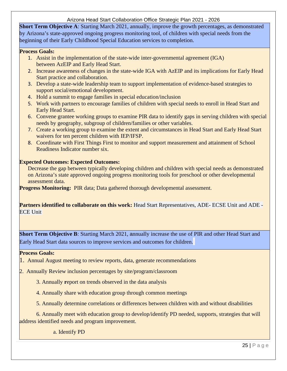**Short Term Objective A**: Starting March 2021, annually, improve the growth percentages, as demonstrated by Arizona's state-approved ongoing progress monitoring tool, of children with special needs from the beginning of their Early Childhood Special Education services to completion.

#### **Process Goals:**

- 1. Assist in the implementation of the state-wide inter-governmental agreement (IGA) between AzEIP and Early Head Start.
- 2. Increase awareness of changes in the state-wide IGA with AzEIP and its implications for Early Head Start practice and collaboration.
- 3. Develop a state-wide leadership team to support implementation of evidence-based strategies to support social/emotional development.
- 4. Hold a summit to engage families in special education/inclusion
- 5. Work with partners to encourage families of children with special needs to enroll in Head Start and Early Head Start.
- 6. Convene grantee working groups to examine PIR data to identify gaps in serving children with special needs by geography, subgroup of children/families or other variables.
- 7. Create a working group to examine the extent and circumstances in Head Start and Early Head Start waivers for ten percent children with IEP/IFSP.
- 8. Coordinate with First Things First to monitor and support measurement and attainment of School Readiness Indicator number six.

#### **Expected Outcomes: Expected Outcomes:**

Decrease the gap between typically developing children and children with special needs as demonstrated on Arizona's state approved ongoing progress monitoring tools for preschool or other developmental assessment data.

**Progress Monitoring: PIR data; Data gathered thorough developmental assessment.** 

**Partners identified to collaborate on this work:** Head Start Representatives, ADE- ECSE Unit and ADE -ECE Unit

**Short Term Objective B**: Starting March 2021, annually increase the use of PIR and other Head Start and Early Head Start data sources to improve services and outcomes for children.

#### **Process Goals:**

- 1. Annual August meeting to review reports, data, generate recommendations
- 2. Annually Review inclusion percentages by site/program/classroom
	- 3. Annually **r**eport on trends observed in the data analysis
	- 4. Annually share with education group through common meetings
	- 5. Annually determine correlations or differences between children with and without disabilities

6. Annually meet with education group to develop/identify PD needed, supports, strategies that will address identified needs and program improvement.

a. Identify PD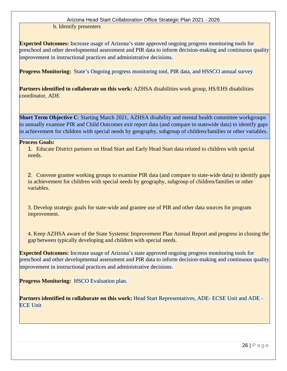b. Identify presenters

**Expected Outcomes:** Increase usage of Arizona's state approved ongoing progress monitoring tools for preschool and other developmental assessment and PIR data to inform decision-making and continuous quality improvement in instructional practices and administrative decisions.

**Progress Monitoring:** State's Ongoing progress monitoring tool, PIR data, and HSSCO annual survey

**Partners identified to collaborate on this work:** AZHSA disabilities work group, HS/EHS disabilities coordinator, ADE

**Short Term Objective C:** Starting March 2021, AZHSA disability and mental health committee workgroups to annually examine PIR and Child Outcomes exit report data (and compare to statewide data) to identify gaps in achievement for children with special needs by geography, subgroup of children/families or other variables.

#### **Process Goals:**

1. Educate District partners on Head Start and Early Head Start data related to children with special needs.

2. Convene grantee working groups to examine PIR data (and compare to state-wide data) to identify gaps in achievement for children with special needs by geography, subgroup of children/families or other variables.

3. Develop strategic goals for state-wide and grantee use of PIR and other data sources for program improvement.

4. Keep AZHSA aware of the State Systemic Improvement Plan Annual Report and progress in closing the gap between typically developing and children with special needs.

**Expected Outcomes:** Increase usage of Arizona's state approved ongoing progress monitoring tools for preschool and other developmental assessment and PIR data to inform decision-making and continuous quality improvement in instructional practices and administrative decisions.

**Progress Monitoring:** HSCO Evaluation plan.

**Partners identified to collaborate on this work:** Head Start Representatives, ADE- ECSE Unit and ADE - ECE Unit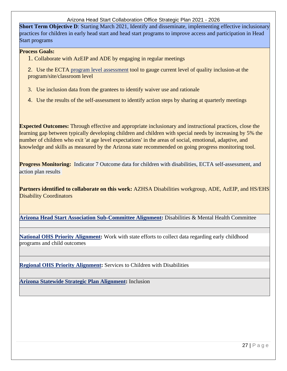**Short Term Objective D**: Starting March 2021, Identify and disseminate, implementing effective inclusionary practices for children in early head start and head start programs to improve access and participation in Head Start programs

#### **Process Goals:**

1. Collaborate with AzEIP and ADE by engaging in regular meetings

2. Use the ECTA [program level assessment](https://ectacenter.org/%7Epdfs/topics/inclusion/local-inclusion-self-assessment.pdf) tool to gauge current level of quality inclusion-at the program/site/classroom level

- 3. Use inclusion data from the grantees to identify waiver use and rationale
- 4. Use the results of the self-assessment to identify action steps by sharing at quarterly meetings

**Expected Outcomes:** Through effective and appropriate inclusionary and instructional practices, close the learning gap between typically developing children and children with special needs by increasing by 5% the number of children who exit 'at age level expectations' in the areas of social, emotional, adaptive, and knowledge and skills as measured by the Arizona state recommended on going progress monitoring tool.

**Progress Monitoring:** Indicator 7 Outcome data for children with disabilities, ECTA self-assessment, and action plan results

**Partners identified to collaborate on this work:** AZHSA Disabilities workgroup, ADE, AzEIP, and HS/EHS Disability Coordinators

**[Arizona Head Start Association Sub-Committee Alignment:](https://www.azheadstart.org/committees.php)** Disabilities & Mental Health Committee

**[National OHS Priority Alignment:](https://eclkc.ohs.acf.hhs.gov/about-us/article/head-start-collaboration-offices-national-priorities)** Work with state efforts to collect data regarding early childhood programs and child outcomes

**[Regional OHS Priority Alignment:](https://eclkc.ohs.acf.hhs.gov/about-us/article/head-start-collaboration-offices-regional-priorities)** Services to Children with Disabilities

**[Arizona Statewide Strategic Plan Alignment:](https://www.azed.gov/sites/default/files/2019/10/AZ%20Statewide%20Strategic%20Plans%20Crosswalk_Final.pdf?id=5da73b6e03e2b308508fb73e)** Inclusion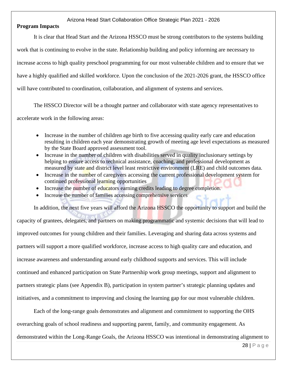#### **Program Impacts**

It is clear that Head Start and the Arizona HSSCO must be strong contributors to the systems building work that is continuing to evolve in the state. Relationship building and policy informing are necessary to increase access to high quality preschool programming for our most vulnerable children and to ensure that we have a highly qualified and skilled workforce. Upon the conclusion of the 2021-2026 grant, the HSSCO office will have contributed to coordination, collaboration, and alignment of systems and services.

The HSSCO Director will be a thought partner and collaborator with state agency representatives to

accelerate work in the following areas:

- Increase in the number of children age birth to five accessing quality early care and education resulting in children each year demonstrating growth of meeting age level expectations as measured by the State Board approved assessment tool.
- Increase in the number of children with disabilities served in quality inclusionary settings by helping to ensure access to technical assistance, coaching, and professional development as measured by state and district level least restrictive environment (LRE) and child outcomes data.
- Increase in the number of caregivers accessing the current professional development system for continued professional learning opportunities
- Increase the number of educators earning credits leading to degree completion.
- Increase the number of families accessing comprehensive services

In addition, the next five years will afford the Arizona HSSCO the opportunity to support and build the capacity of grantees, delegates, and partners on making programmatic and systemic decisions that will lead to improved outcomes for young children and their families. Leveraging and sharing data across systems and partners will support a more qualified workforce, increase access to high quality care and education, and increase awareness and understanding around early childhood supports and services. This will include continued and enhanced participation on State Partnership work group meetings, support and alignment to partners strategic plans (see Appendix B), participation in system partner's strategic planning updates and initiatives, and a commitment to improving and closing the learning gap for our most vulnerable children.

Each of the long-range goals demonstrates and alignment and commitment to supporting the OHS overarching goals of school readiness and supporting parent, family, and community engagement. As demonstrated within the Long-Range Goals, the Arizona HSSCO was intentional in demonstrating alignment to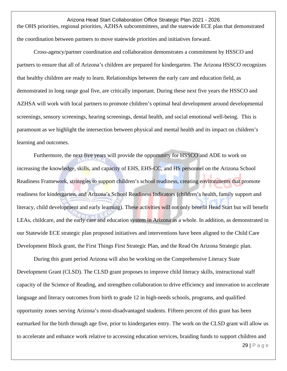Arizona Head Start Collaboration Office Strategic Plan 2021 - 2026 the OHS priorities, regional priorities, AZHSA subcommittees, and the statewide ECE plan that demonstrated the coordination between partners to move statewide priorities and initiatives forward.

Cross-agency/partner coordination and collaboration demonstrates a commitment by HSSCO and partners to ensure that all of Arizona's children are prepared for kindergarten. The Arizona HSSCO recognizes that healthy children are ready to learn. Relationships between the early care and education field, as demonstrated in long range goal five, are critically important. During these next five years the HSSCO and AZHSA will work with local partners to promote children's optimal heal development around developmental screenings, sensory screenings, hearing screenings, dental health, and social emotional well-being. This is paramount as we highlight the intersection between physical and mental health and its impact on children's learning and outcomes.

Furthermore, the next five years will provide the opportunity for HSSCO and ADE to work on increasing the knowledge, skills, and capacity of EHS, EHS-CC, and HS personnel on the Arizona School Readiness Framework, strategies to support children's school readiness, creating environments that promote readiness for kindergarten, and Arizona's School Readiness Indicators (children's health, family support and literacy, child development and early learning). These activities will not only benefit Head Start but will benefit LEAs, childcare, and the early care and education system in Arizona as a whole. In addition, as demonstrated in our Statewide ECE strategic plan proposed initiatives and interventions have been aligned to the Child Care Development Block grant, the First Things First Strategic Plan, and the Read On Arizona Strategic plan.

During this grant period Arizona will also be working on the Comprehensive Literacy State Development Grant (CLSD). The CLSD grant proposes to improve child literacy skills, instructional staff capacity of the Science of Reading, and strengthen collaboration to drive efficiency and innovation to accelerate language and literacy outcomes from birth to grade 12 in high-needs schools, programs, and qualified opportunity zones serving Arizona's most-disadvantaged students. Fifteen percent of this grant has been earmarked for the birth through age five, prior to kindergarten entry. The work on the CLSD grant will allow us to accelerate and enhance work relative to accessing education services, braiding funds to support children and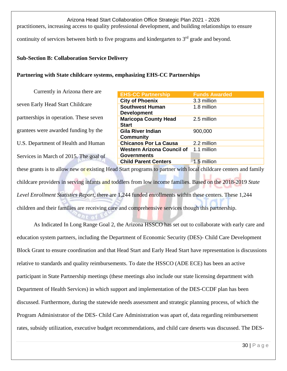Arizona Head Start Collaboration Office Strategic Plan 2021 - 2026 practitioners, increasing access to quality professional development, and building relationships to ensure continuity of services between birth to five programs and kindergarten to  $3<sup>rd</sup>$  grade and beyond.

#### **Sub-Section B: Collaboration Service Delivery**

#### **Partnering with State childcare systems, emphasizing EHS-CC Partnerships**

Currently in Arizona there are seven Early Head Start Childcare partnerships in operation. These seven grantees were awarded funding by the U.S. Department of Health and Human Services in March of 2015. The goal of

| <b>EHS-CC Partnership</b>         | <b>Funds Awarded</b> |
|-----------------------------------|----------------------|
| <b>City of Phoenix</b>            | 3.3 million          |
| <b>Southwest Human</b>            | 1.8 million          |
| <b>Development</b>                |                      |
| <b>Maricopa County Head</b>       | 2.5 million          |
| <b>Start</b>                      |                      |
| <b>Gila River Indian</b>          | 900,000              |
| <b>Community</b>                  |                      |
| <b>Chicanos Por La Causa</b>      | 2.2 million          |
| <b>Western Arizona Council of</b> | 1.1 million          |
| <b>Governments</b>                |                      |
| <b>Child Parent Centers</b>       | 1.5 million          |
|                                   |                      |

these grants is to allow new or existing Head Start programs to partner with local childcare centers and family childcare providers in serving infants and toddlers from low income families. Based on the 2018-2019 *State Level Enrollment Statistics Report,* there are 1,244 funded enrollments within these centers. These 1,244 children and their families are receiving care and comprehensive services though this partnership.

As Indicated In Long Range Goal 2, the Arizona HSSCO has set out to collaborate with early care and education system partners, including the Department of Economic Security (DES)- Child Care Development Block Grant to ensure coordination and that Head Start and Early Head Start have representation is discussions relative to standards and quality reimbursements. To date the HSSCO (ADE ECE) has been an active participant in State Partnership meetings (these meetings also include our state licensing department with Department of Health Services) in which support and implementation of the DES-CCDF plan has been discussed. Furthermore, during the statewide needs assessment and strategic planning process, of which the Program Administrator of the DES- Child Care Administration was apart of, data regarding reimbursement rates, subsidy utilization, executive budget recommendations, and child care deserts was discussed. The DES-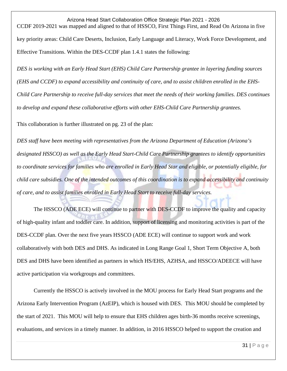Arizona Head Start Collaboration Office Strategic Plan 2021 - 2026 CCDF 2019-2021 was mapped and aligned to that of HSSCO, First Things First, and Read On Arizona in five key priority areas: Child Care Deserts, Inclusion, Early Language and Literacy, Work Force Development, and Effective Transitions. Within the DES-CCDF plan 1.4.1 states the following:

*DES is working with an Early Head Start (EHS) Child Care Partnership grantee in layering funding sources (EHS and CCDF) to expand accessibility and continuity of care, and to assist children enrolled in the EHS-Child Care Partnership to receive full-day services that meet the needs of their working families. DES continues to develop and expand these collaborative efforts with other EHS-Child Care Partnership grantees.*

This collaboration is further illustrated on pg. 23 of the plan:

*DES staff have been meeting with representatives from the Arizona Department of Education (Arizona's designated HSSCO) as well as the Early Head Start-Child Care Partnership grantees to identify opportunities to coordinate services for families who are enrolled in Early Head Star and eligible, or potentially eligible, for child care subsidies. One of the intended outcomes of this coordination is to expand accessibility and continuity of care, and to assist families enrolled in Early Head Start to receive full-day services.* 

The HSSCO (ADE ECE) will continue to partner with DES-CCDF to improve the quality and capacity of high-quality infant and toddler care. In addition, support of licensing and monitoring activities is part of the DES-CCDF plan. Over the next five years HSSCO (ADE ECE) will continue to support work and work collaboratively with both DES and DHS. As indicated in Long Range Goal 1, Short Term Objective A, both DES and DHS have been identified as partners in which HS/EHS, AZHSA, and HSSCO/ADEECE will have active participation via workgroups and committees.

Currently the HSSCO is actively involved in the MOU process for Early Head Start programs and the Arizona Early Intervention Program (AzEIP), which is housed with DES. This MOU should be completed by the start of 2021. This MOU will help to ensure that EHS children ages birth-36 months receive screenings, evaluations, and services in a timely manner. In addition, in 2016 HSSCO helped to support the creation and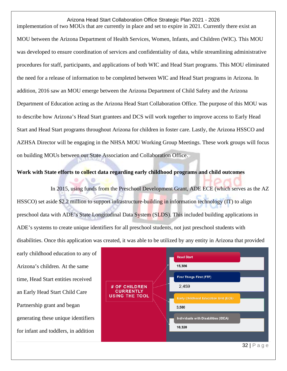Arizona Head Start Collaboration Office Strategic Plan 2021 - 2026 implementation of two MOUs that are currently in place and set to expire in 2021. Currently there exist an MOU between the Arizona Department of Health Services, Women, Infants, and Children (WIC). This MOU was developed to ensure coordination of services and confidentiality of data, while streamlining administrative procedures for staff, participants, and applications of both WIC and Head Start programs. This MOU eliminated the need for a release of information to be completed between WIC and Head Start programs in Arizona. In addition, 2016 saw an MOU emerge between the Arizona Department of Child Safety and the Arizona Department of Education acting as the Arizona Head Start Collaboration Office. The purpose of this MOU was to describe how Arizona's Head Start grantees and DCS will work together to improve access to Early Head Start and Head Start programs throughout Arizona for children in foster care. Lastly, the Arizona HSSCO and AZHSA Director will be engaging in the NHSA MOU Working Group Meetings. These work groups will focus on building MOUs between our State Association and Collaboration Office.

#### **Work with State efforts to collect data regarding early childhood programs and child outcomes**

In 2015, using funds from the Preschool Development Grant, ADE ECE (which serves as the AZ HSSCO) set aside \$2.2 million to support infrastructure-building in information technology (IT) to align preschool data with ADE's State Longitudinal Data System (SLDS). This included building applications in ADE's systems to create unique identifiers for all preschool students, not just preschool students with disabilities. Once this application was created, it was able to be utilized by any entity in Arizona that provided

early childhood education to any of Arizona's children. At the same time, Head Start entities received an Early Head Start Child Care Partnership grant and began generating these unique identifiers for infant and toddlers, in addition

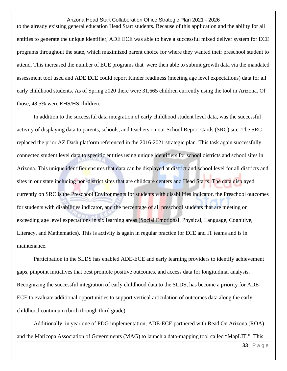to the already existing general education Head Start students. Because of this application and the ability for all entities to generate the unique identifier, ADE ECE was able to have a successful mixed deliver system for ECE programs throughout the state, which maximized parent choice for where they wanted their preschool student to attend. This increased the number of ECE programs that were then able to submit growth data via the mandated assessment tool used and ADE ECE could report Kinder readiness (meeting age level expectations) data for all early childhood students. As of Spring 2020 there were 31,665 children currently using the tool in Arizona. Of those, 48.5% were EHS/HS children.

In addition to the successful data integration of early childhood student level data, was the successful activity of displaying data to parents, schools, and teachers on our School Report Cards (SRC) site. The SRC replaced the prior AZ Dash platform referenced in the 2016-2021 strategic plan. This task again successfully connected student level data to specific entities using unique identifiers for school districts and school sites in Arizona. This unique identifier ensures that data can be displayed at district and school level for all districts and sites in our state including non-district sites that are childcare centers and Head Starts. The data displayed currently on SRC is the Preschool Environments for students with disabilities indicator, the Preschool outcomes for students with disabilities indicator, and the percentage of all preschool students that are meeting or exceeding age level expectations in six learning areas (Social Emotional, Physical, Language, Cognitive, Literacy, and Mathematics). This is activity is again in regular practice for ECE and IT teams and is in maintenance.

Participation in the SLDS has enabled ADE-ECE and early learning providers to identify achievement gaps, pinpoint initiatives that best promote positive outcomes, and access data for longitudinal analysis. Recognizing the successful integration of early childhood data to the SLDS, has become a priority for ADE-ECE to evaluate additional opportunities to support vertical articulation of outcomes data along the early childhood continuum (birth through third grade).

Additionally, in year one of PDG implementation, ADE-ECE partnered with Read On Arizona (ROA) and the Maricopa Association of Governments (MAG) to launch a data-mapping tool called "MapLIT." This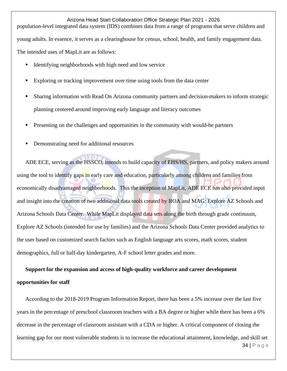Arizona Head Start Collaboration Office Strategic Plan 2021 - 2026 population-level integrated data system (IDS) combines data from a range of programs that serve children and young adults. In essence, it serves as a clearinghouse for census, school, health, and family engagement data. The intended uses of MapLit are as follows:

- Identifying neighborhoods with high need and low service
- Exploring or tracking improvement over time using tools from the data center
- Sharing information with Read On Arizona community partners and decision-makers to inform strategic planning centered around improving early language and literacy outcomes
- Presenting on the challenges and opportunities in the community with would-be partners
- Demonstrating need for additional resources

ADE ECE, serving as the HSSCO, intends to build capacity of EHS/HS, partners, and policy makers around using the tool to identify gaps in early care and education, particularly among children and families from economically disadvantaged neighborhoods. This the inception of MapLit, ADE ECE has also provided input and insight into the creation of two additional data tools created by ROA and MAG: Explore AZ Schools and Arizona Schools Data Center. While MapLit displayed data sets along the birth through grade continuum, Explore AZ Schools (intended for use by families) and the Arizona Schools Data Center provided analytics to the user based on customized search factors such as English language arts scores, math scores, student demographics, full or half-day kindergarten, A-F school letter grades and more.

# **Support for the expansion and access of high-quality workforce and career development**

#### **opportunities for staff**

According to the 2018-2019 Program Information Report, there has been a 5% increase over the last five years in the percentage of preschool classroom teachers with a BA degree or higher while there has been a 6% decrease in the percentage of classroom assistant with a CDA or higher. A critical component of closing the learning gap for our most vulnerable students is to increase the educational attainment, knowledge, and skill set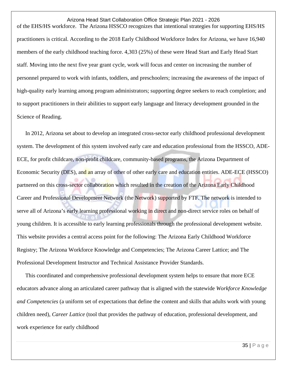Arizona Head Start Collaboration Office Strategic Plan 2021 - 2026 of the EHS/HS workforce. The Arizona HSSCO recognizes that intentional strategies for supporting EHS/HS practitioners is critical. According to the 2018 Early Childhood Workforce Index for Arizona, we have 16,940 members of the early childhood teaching force. 4,303 (25%) of these were Head Start and Early Head Start staff. Moving into the next five year grant cycle, work will focus and center on increasing the number of personnel prepared to work with infants, toddlers, and preschoolers; increasing the awareness of the impact of high-quality early learning among program administrators; supporting degree seekers to reach completion; and to support practitioners in their abilities to support early language and literacy development grounded in the Science of Reading.

In 2012, Arizona set about to develop an integrated cross-sector early childhood professional development system. The development of this system involved early care and education professional from the HSSCO, ADE-ECE, for profit childcare, non-profit childcare, community-based programs, the Arizona Department of Economic Security (DES), and an array of other of other early care and education entities. ADE-ECE (HSSCO) partnered on this cross-sector collaboration which resulted in the creation of the Arizona Early Childhood Career and Professional Development Network (the Network) supported by FTF. The network is intended to serve all of Arizona's early learning professional working in direct and non-direct service roles on behalf of young children. It is accessible to early learning professionals through the professional development website. This website provides a central access point for the following: The Arizona Early Childhood Workforce Registry; The Arizona Workforce Knowledge and Competencies; The Arizona Career Lattice; and The Professional Development Instructor and Technical Assistance Provider Standards.

This coordinated and comprehensive professional development system helps to ensure that more ECE educators advance along an articulated career pathway that is aligned with the statewide *Workforce Knowledge and Competencies* (a uniform set of expectations that define the content and skills that adults work with young children need), *Career Lattice* (tool that provides the pathway of education, professional development, and work experience for early childhood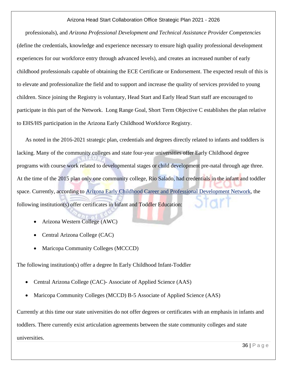professionals), and *Arizona Professional Development and Technical Assistance Provider Competencies*  (define the credentials, knowledge and experience necessary to ensure high quality professional development experiences for our workforce entry through advanced levels), and creates an increased number of early childhood professionals capable of obtaining the ECE Certificate or Endorsement. The expected result of this is to elevate and professionalize the field and to support and increase the quality of services provided to young children. Since joining the Registry is voluntary, Head Start and Early Head Start staff are encouraged to participate in this part of the Network. Long Range Goal, Short Term Objective C establishes the plan relative to EHS/HS participation in the Arizona Early Childhood Workforce Registry.

As noted in the 2016-2021 strategic plan, credentials and degrees directly related to infants and toddlers is lacking. Many of the community colleges and state four-year universities offer Early Childhood degree programs with course work related to developmental stages or child development pre-natal through age three. At the time of the 2015 plan only one community college, Rio Salado, had credentials in the infant and toddler space. Currently, according to [Arizona Early Childhood Career and Professional Development Network,](http://azearlychildhood.org/advance-your-career/early-childhood-credentials-certifications-and-degrees/) the following institution(s) offer certificates in Infant and Toddler Education:

- Arizona Western College (AWC)
- Central Arizona College (CAC)
- Maricopa Community Colleges (MCCCD)

The following institution(s) offer a degree In Early Childhood Infant-Toddler

- Central Arizona College (CAC)- Associate of Applied Science (AAS)
- Maricopa Community Colleges (MCCD) B-5 Associate of Applied Science (AAS)

Currently at this time our state universities do not offer degrees or certificates with an emphasis in infants and

toddlers. There currently exist articulation agreements between the state community colleges and state

universities.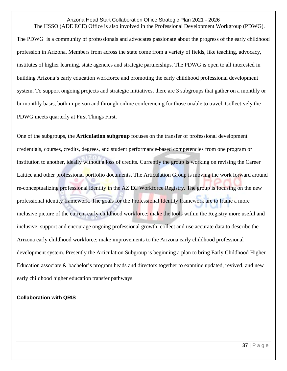#### Arizona Head Start Collaboration Office Strategic Plan 2021 - 2026 The HSSO (ADE ECE) Office is also involved in the Professional Development Workgroup (PDWG).

The PDWG is a community of professionals and advocates passionate about the progress of the early childhood profession in Arizona. Members from across the state come from a variety of fields, like teaching, advocacy, institutes of higher learning, state agencies and strategic partnerships. The PDWG is open to all interested in building Arizona's early education workforce and promoting the early childhood professional development system. To support ongoing projects and strategic initiatives, there are 3 subgroups that gather on a monthly or bi-monthly basis, both in-person and through online conferencing for those unable to travel. Collectively the PDWG meets quarterly at First Things First.

One of the subgroups, the **Articulation subgroup** focuses on the transfer of professional development credentials, courses, credits, degrees, and student performance-based competencies from one program or institution to another, ideally without a loss of credits. Currently the group is working on revising the Career Lattice and other professional portfolio documents. The Articulation Group is moving the work forward around re-conceptualizing professional identity in the AZ EC Workforce Registry. The group is focusing on the new professional identity framework. The goals for the Professional Identity framework are to frame a more inclusive picture of the current early childhood workforce; make the tools within the Registry more useful and inclusive; support and encourage ongoing professional growth; collect and use accurate data to describe the Arizona early childhood workforce; make improvements to the Arizona early childhood professional development system. Presently the Articulation Subgroup is beginning a plan to bring Early Childhood Higher Education associate & bachelor's program heads and directors together to examine updated, revived, and new early childhood higher education transfer pathways.

#### **Collaboration with QRIS**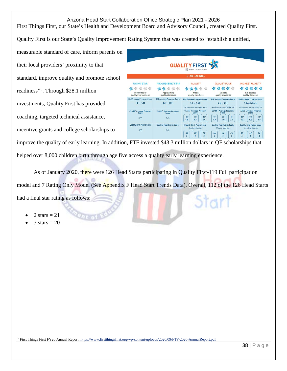First Things First, our State's Health and Development Board and Advisory Council, created Quality First.

Quality First is our State's Quality Improvement Rating System that was created to "establish a unified,

measurable standard of care, inform parents on their local providers' proximity to that standard, improve quality and promote school readiness"[5](#page-38-0) . Through \$28.1 million investments, Quality First has provided coaching, targeted technical assistance, incentive grants and college scholarships to



improve the quality of early learning. In addition, FTF invested \$43.3 million dollars in QF scholarships that helped over 8,000 children birth through age five access a quality early learning experience.

As of January 2020, there were 126 Head Starts participating in Quality First-119 Full participation model and 7 Rating Only Model (See Appendix F Head Start Trends Data). Overall, 112 of the 126 Head Starts Start had a final star rating as follows:

- 2 stars  $= 21$
- $3 \text{ stars} = 20$

<span id="page-38-0"></span><sup>5</sup> First Things First FY20 Annual Report[: https://www.firstthingsfirst.org/wp-content/uploads/2020/09/FTF-2020-AnnualReport.pdf](https://www.firstthingsfirst.org/wp-content/uploads/2020/09/FTF-2020-AnnualReport.pdf)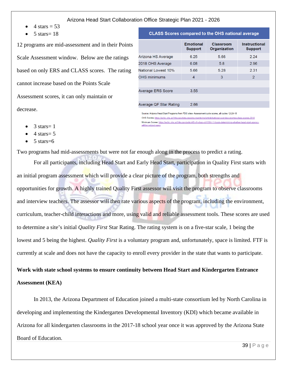- 4 stars  $=$  53
- $5 \text{ stars} = 18$

12 programs are mid-assessment and in their Points Scale Assessment window. Below are the ratings based on only ERS and CLASS scores. The rating cannot increase based on the Points Scale Assessment scores, it can only maintain or decrease.

|                          | <b>Emotional</b><br><b>Support</b> | Classroom<br>Organization | <b>Instructional</b><br><b>Support</b> |
|--------------------------|------------------------------------|---------------------------|----------------------------------------|
| Arizona HS Average       | 6.25                               | 5.66                      | 2.24                                   |
| 2018 OHS Average         | 6.08                               | 5.8                       | 2.96                                   |
| National Lowest 10%      | 5.66                               | 5.28                      | 2.31                                   |
| <b>OHS</b> minimums      | 4                                  | 3                         | $\overline{2}$                         |
|                          |                                    |                           |                                        |
| <b>Average ERS Score</b> | 3.55                               |                           |                                        |
|                          |                                    |                           |                                        |
| Average OF Star Rating   | 2.66                               |                           |                                        |

**CLASS Scores compared to the OHS national average** 

Source: Arizona Head Start Programs from PDG sites- Assessment cycle scores, all cycles 12-24-18 OHS Scores-https://eclkc.ohs.acf.hhs.gov/data-ongoing-monitoring/article/national-overview-grantee-class-scores-2018 Minimum Scores: https://eclkc.ohs.acf.hhs.gov/policy/45-cfr-chap-xiii/1304-11-basis-determining-whether-head-start-agencywill-be-subiect-oper

- $3 \text{ stars} = 1$
- $4 \text{ stars} = 5$
- $5 \text{ stars} = 6$

Two programs had mid-assessments but were not far enough along in the process to predict a rating.

For all participants, including Head Start and Early Head Start, participation in Quality First starts with an initial program assessment which will provide a clear picture of the program, both strengths and opportunities for growth. A highly trained Quality First assessor will visit the program to observe classrooms and interview teachers. The assessor will then rate various aspects of the program, including the environment, curriculum, teacher-child interactions and more, using valid and reliable assessment tools. These scores are used to determine a site's initial *Quality First* Star Rating. The rating system is on a five-star scale, 1 being the lowest and 5 being the highest. *Quality First* is a voluntary program and, unfortunately, space is limited. FTF is currently at scale and does not have the capacity to enroll every provider in the state that wants to participate.

# **Work with state school systems to ensure continuity between Head Start and Kindergarten Entrance**

#### **Assessment (KEA)**

In 2013, the Arizona Department of Education joined a multi-state consortium led by North Carolina in developing and implementing the Kindergarten Developmental Inventory (KDI) which became available in Arizona for all kindergarten classrooms in the 2017-18 school year once it was approved by the Arizona State Board of Education.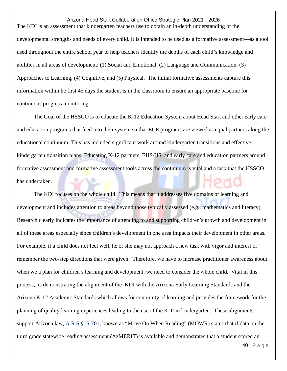Arizona Head Start Collaboration Office Strategic Plan 2021 - 2026 The KDI is an assessment that kindergarten teachers use to obtain an in-depth understanding of the developmental strengths and needs of every child. It is intended to be used as a formative assessment—as a tool used throughout the entire school year to help teachers identify the depths of each child's knowledge and abilities in all areas of development: (1) Social and Emotional, (2) Language and Communication, (3) Approaches to Learning, (4) Cognitive, and (5) Physical. The initial formative assessments capture this information within he first 45 days the student is in the classroom to ensure an appropriate baseline for continuous progress monitoring.

The Goal of the HSSCO is to educate the K-12 Education System about Head Start and other early care and education programs that feed into their system so that ECE programs are viewed as equal partners along the educational continuum. This has included significant work around kindergarten transitions and effective kindergarten transition plans. Educating K-12 partners, EHS/HS, and early care and education partners around formative assessment and formative assessment tools across the continuum is vital and a task that the HSSCO has undertaken.

The KDI focuses on the whole child. This means that it addresses five domains of learning and development and includes attention to areas beyond those typically assessed (e.g., mathematics and literacy). Research clearly indicates the importance of attending to and supporting children's growth and development in all of these areas especially since children's development in one area impacts their development in other areas. For example, if a child does not feel well, he or she may not approach a new task with vigor and interest or remember the two-step directions that were given. Therefore, we have to increase practitioner awareness about when we a plan for children's learning and development, we need to consider the whole child. Vital in this process, is demonstrating the alignment of the KDI with the Arizona Early Learning Standards and the Arizona K-12 Academic Standards which allows for continuity of learning and provides the framework for the planning of quality learning experiences leading to the use of the KDI in kindergarten. These alignments support Arizona law, [A.R.S.§15-701,](http://www.azleg.gov/ars/15/00701.htm) known as "Move On When Reading" (MOWR) states that if data on the third grade statewide reading assessment (AzMERIT) is available and demonstrates that a student scored an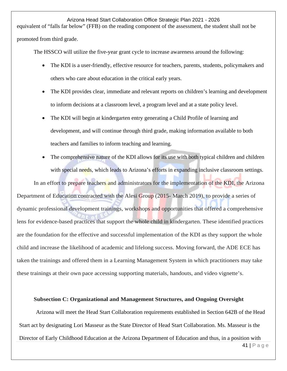equivalent of "falls far below" (FFB) on the reading component of the assessment, the student shall not be promoted from third grade.

The HSSCO will utilize the five-year grant cycle to increase awareness around the following:

- The KDI is a user-friendly, effective resource for teachers, parents, students, policymakers and others who care about education in the critical early years.
- The KDI provides clear, immediate and relevant reports on children's learning and development to inform decisions at a classroom level, a program level and at a state policy level.
- The KDI will begin at kindergarten entry generating a Child Profile of learning and development, and will continue through third grade, making information available to both teachers and families to inform teaching and learning.
- The comprehensive nature of the KDI allows for its use with both typical children and children with special needs, which leads to Arizona's efforts in expanding inclusive classroom settings.

In an effort to prepare teachers and administrators for the implementation of the KDI, the Arizona Department of Education contracted with the Alesi Group (2015- March 2019), to provide a series of dynamic professional development trainings, workshops and opportunities that offered a comprehensive lens for evidence-based practices that support the whole child in kindergarten. These identified practices are the foundation for the effective and successful implementation of the KDI as they support the whole child and increase the likelihood of academic and lifelong success. Moving forward, the ADE ECE has taken the trainings and offered them in a Learning Management System in which practitioners may take these trainings at their own pace accessing supporting materials, handouts, and video vignette's.

#### **Subsection C: Organizational and Management Structures, and Ongoing Oversight**

Arizona will meet the Head Start Collaboration requirements established in Section 642B of the Head Start act by designating Lori Masseur as the State Director of Head Start Collaboration. Ms. Masseur is the Director of Early Childhood Education at the Arizona Department of Education and thus, in a position with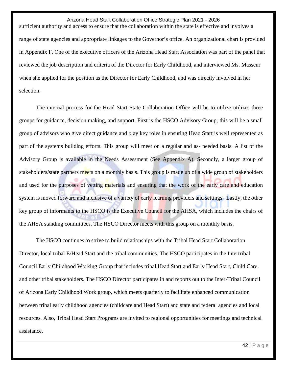Arizona Head Start Collaboration Office Strategic Plan 2021 - 2026 sufficient authority and access to ensure that the collaboration within the state is effective and involves a range of state agencies and appropriate linkages to the Governor's office. An organizational chart is provided in Appendix F. One of the executive officers of the Arizona Head Start Association was part of the panel that reviewed the job description and criteria of the Director for Early Childhood, and interviewed Ms. Masseur when she applied for the position as the Director for Early Childhood, and was directly involved in her selection.

The internal process for the Head Start State Collaboration Office will be to utilize utilizes three groups for guidance, decision making, and support. First is the HSCO Advisory Group, this will be a small group of advisors who give direct guidance and play key roles in ensuring Head Start is well represented as part of the systems building efforts. This group will meet on a regular and as- needed basis. A list of the Advisory Group is available in the Needs Assessment (See Appendix A). Secondly, a larger group of stakeholders/state partners meets on a monthly basis. This group is made up of a wide group of stakeholders and used for the purposes of vetting materials and ensuring that the work of the early care and education system is moved forward and inclusive of a variety of early learning providers and settings. Lastly, the other key group of informants to the HSCO is the Executive Council for the AHSA, which includes the chairs of the AHSA standing committees. The HSCO Director meets with this group on a monthly basis.

The HSCO continues to strive to build relationships with the Tribal Head Start Collaboration Director, local tribal E/Head Start and the tribal communities. The HSCO participates in the Intertribal Council Early Childhood Working Group that includes tribal Head Start and Early Head Start, Child Care, and other tribal stakeholders. The HSCO Director participates in and reports out to the Inter-Tribal Council of Arizona Early Childhood Work group, which meets quarterly to facilitate enhanced communication between tribal early childhood agencies (childcare and Head Start) and state and federal agencies and local resources. Also, Tribal Head Start Programs are invited to regional opportunities for meetings and technical assistance.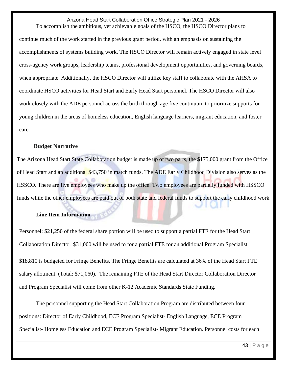Arizona Head Start Collaboration Office Strategic Plan 2021 - 2026 To accomplish the ambitious, yet achievable goals of the HSCO, the HSCO Director plans to continue much of the work started in the previous grant period, with an emphasis on sustaining the accomplishments of systems building work. The HSCO Director will remain actively engaged in state level cross-agency work groups, leadership teams, professional development opportunities, and governing boards, when appropriate. Additionally, the HSCO Director will utilize key staff to collaborate with the AHSA to coordinate HSCO activities for Head Start and Early Head Start personnel. The HSCO Director will also work closely with the ADE personnel across the birth through age five continuum to prioritize supports for

young children in the areas of homeless education, English language learners, migrant education, and foster care.

#### **Budget Narrative**

The Arizona Head Start State Collaboration budget is made up of two parts, the \$175,000 grant from the Office of Head Start and an additional \$43,750 in match funds. The ADE Early Childhood Division also serves as the HSSCO. There are five employees who make up the office. Two employees are partially funded with HSSCO funds while the other employees are paid out of both state and federal funds to support the early childhood work

#### **Line Item Information**

Personnel: \$21,250 of the federal share portion will be used to support a partial FTE for the Head Start Collaboration Director. \$31,000 will be used to for a partial FTE for an additional Program Specialist.

\$18,810 is budgeted for Fringe Benefits. The Fringe Benefits are calculated at 36% of the Head Start FTE salary allotment. (Total: \$71,060). The remaining FTE of the Head Start Director Collaboration Director and Program Specialist will come from other K-12 Academic Standards State Funding.

The personnel supporting the Head Start Collaboration Program are distributed between four positions: Director of Early Childhood, ECE Program Specialist- English Language, ECE Program Specialist- Homeless Education and ECE Program Specialist- Migrant Education. Personnel costs for each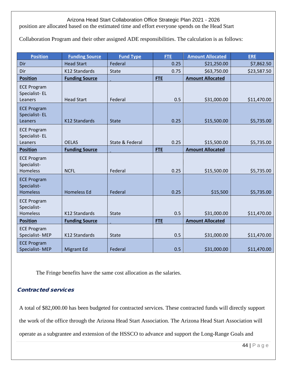position are allocated based on the estimated time and effort everyone spends on the Head Start

Collaboration Program and their other assigned ADE responsibilities. The calculation is as follows:

| <b>Position</b>                                      | <b>Funding Source</b> | <b>Fund Type</b> | <b>FTE</b> | <b>Amount Allocated</b> | <b>ERE</b>  |
|------------------------------------------------------|-----------------------|------------------|------------|-------------------------|-------------|
| Dir                                                  | <b>Head Start</b>     | Federal          | 0.25       | \$21,250.00             | \$7,862.50  |
| Dir                                                  | K12 Standards         | <b>State</b>     | 0.75       | \$63,750.00             | \$23,587.50 |
| <b>Position</b>                                      | <b>Funding Source</b> |                  | <b>FTE</b> | <b>Amount Allocated</b> |             |
| <b>ECE Program</b><br>Specialist-EL<br>Leaners       | <b>Head Start</b>     | Federal          | 0.5        | \$31,000.00             | \$11,470.00 |
| <b>ECE Program</b><br>Specialist-EL<br>Leaners       | <b>K12 Standards</b>  | <b>State</b>     | 0.25       | \$15,500.00             | \$5,735.00  |
| <b>ECE Program</b><br>Specialist-EL<br>Leaners       | <b>OELAS</b>          | State & Federal  | 0.25       | \$15,500.00             | \$5,735.00  |
| <b>Position</b>                                      | <b>Funding Source</b> |                  | <b>FTE</b> | <b>Amount Allocated</b> |             |
| <b>ECE Program</b><br>Specialist-<br><b>Homeless</b> | <b>NCFL</b>           | Federal          | 0.25       | \$15,500.00             | \$5,735.00  |
| <b>ECE Program</b><br>Specialist-<br><b>Homeless</b> | <b>Homeless Ed</b>    | Federal          | 0.25       | \$15,500                | \$5,735.00  |
| <b>ECE Program</b><br>Specialist-<br><b>Homeless</b> | K12 Standards         | <b>State</b>     | 0.5        | \$31,000.00             | \$11,470.00 |
| <b>Position</b>                                      | <b>Funding Source</b> |                  | <b>FTE</b> | <b>Amount Allocated</b> |             |
| <b>ECE Program</b><br>Specialist-MEP                 | K12 Standards         | State            | 0.5        | \$31,000.00             | \$11,470.00 |
| <b>ECE Program</b><br>Specialist-MEP                 | <b>Migrant Ed</b>     | Federal          | 0.5        | \$31,000.00             | \$11,470.00 |

The Fringe benefits have the same cost allocation as the salaries.

# Contracted services

A total of \$82,000.00 has been budgeted for contracted services. These contracted funds will directly support the work of the office through the Arizona Head Start Association. The Arizona Head Start Association will operate as a subgrantee and extension of the HSSCO to advance and support the Long-Range Goals and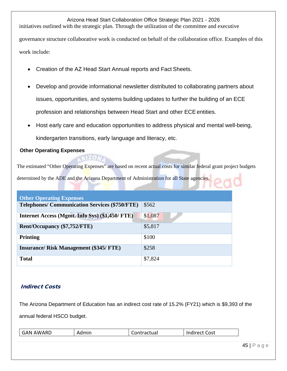Arizona Head Start Collaboration Office Strategic Plan 2021 - 2026 initiatives outlined with the strategic plan. Through the utilization of the committee and executive governance structure collaborative work is conducted on behalf of the collaboration office. Examples of this work include:

- Creation of the AZ Head Start Annual reports and Fact Sheets.
- Develop and provide informational newsletter distributed to collaborating partners about issues, opportunities, and systems building updates to further the building of an ECE profession and relationships between Head Start and other ECE entities.
- Host early care and education opportunities to address physical and mental well-being, kindergarten transitions, early language and literacy, etc.

#### **Other Operating Expenses**

The estimated "Other Operating Expenses" are based on recent actual costs for similar federal grant project budgets

determined by the ADE and the Arizona Department of Administration for all State agencies.

t vin

| <b>Other Operating Expenses</b>                       |         |
|-------------------------------------------------------|---------|
| <b>Telephones/ Communication Services (\$750/FTE)</b> | \$562   |
| Internet Access (Mgmt. Info Sys) (\$1,450/ FTE)       | \$1,087 |
| Rent/Occupancy (\$7,752/FTE)                          | \$5,817 |
| <b>Printing</b>                                       | \$100   |
| <b>Insurance/ Risk Management (\$345/ FTE)</b>        | \$258   |
| <b>Total</b>                                          | \$7,824 |

# Indirect Costs

The Arizona Department of Education has an indirect cost rate of 15.2% (FY21) which is \$9,393 of the annual federal HSCO budget.

| ∩ct<br>. .<br>- /\ N<br>\\^<br>n<br>∸<br>,,,,,<br>.<br>---<br>. |
|-----------------------------------------------------------------|
|-----------------------------------------------------------------|

45 | Page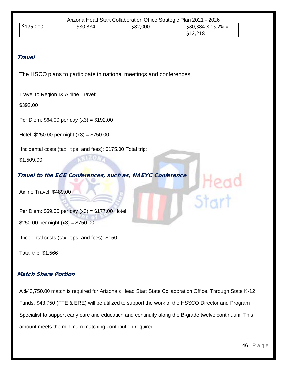| Arizona Head Start Collaboration Office Strategic Plan 2021 - 2026 |          |          |                           |  |
|--------------------------------------------------------------------|----------|----------|---------------------------|--|
| $\frac{1}{2}$ \$175,000                                            | \$80,384 | \$82,000 | $$80,384 \times 15.2\% =$ |  |
|                                                                    |          |          | \$12,218                  |  |

#### **Travel**

The HSCO plans to participate in national meetings and conferences:

Travel to Region IX Airline Travel:

\$392.00

Per Diem: \$64.00 per day (x3) = \$192.00

Hotel: \$250.00 per night (x3) = \$750.00

Incidental costs (taxi, tips, and fees): \$175.00 Total trip:

\$1,509.00

Travel to the ECE Conferences, such as, NAEYC Conference

Airline Travel: \$489.00

Per Diem: \$59.00 per day (x3) = \$177.00 Hotel: \$250.00 per night  $(x3) = $750.00$ 

Incidental costs (taxi, tips, and fees): \$150

Total trip: \$1,566

#### Match Share Portion

A \$43,750.00 match is required for Arizona's Head Start State Collaboration Office. Through State K-12 Funds, \$43,750 (FTE & ERE) will be utilized to support the work of the HSSCO Director and Program Specialist to support early care and education and continuity along the B-grade twelve continuum. This amount meets the minimum matching contribution required.

Start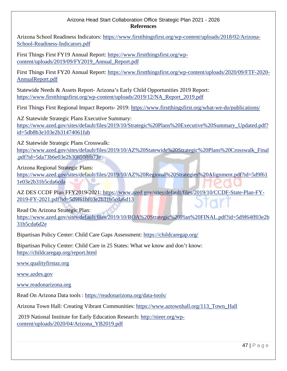#### Arizona Head Start Collaboration Office Strategic Plan 2021 - 2026 **References**

Arizona School Readiness Indicators: [https://www.firstthingsfirst.org/wp-content/uploads/2018/02/Arizona-](https://www.firstthingsfirst.org/wp-content/uploads/2018/02/Arizona-School-Readiness-Indicators.pdf)[School-Readiness-Indicators.pdf](https://www.firstthingsfirst.org/wp-content/uploads/2018/02/Arizona-School-Readiness-Indicators.pdf)

First Things First FY19 Annual Report: [https://www.firstthingsfirst.org/wp](https://www.firstthingsfirst.org/wp-content/uploads/2019/09/FY2019_Annual_Report.pdf)[content/uploads/2019/09/FY2019\\_Annual\\_Report.pdf](https://www.firstthingsfirst.org/wp-content/uploads/2019/09/FY2019_Annual_Report.pdf)

First Things First FY20 Annual Report: [https://www.firstthingsfirst.org/wp-content/uploads/2020/09/FTF-2020-](https://www.firstthingsfirst.org/wp-content/uploads/2020/09/FTF-2020-AnnualReport.pdf) [AnnualReport.pdf](https://www.firstthingsfirst.org/wp-content/uploads/2020/09/FTF-2020-AnnualReport.pdf)

Statewide Needs & Assets Report- Arizona's Early Child Opportunities 2019 Report: [https://www.firstthingsfirst.org/wp-content/uploads/2019/12/NA\\_Report\\_2019.pdf](https://www.firstthingsfirst.org/wp-content/uploads/2019/12/NA_Report_2019.pdf)

First Things First Regional Impact Reports- 2019:<https://www.firstthingsfirst.org/what-we-do/publications/>

AZ Statewide Strategic Plans Executive Summary: [https://www.azed.gov/sites/default/files/2019/10/Strategic%20Plans%20Executive%20Summary\\_Updated.pdf?](https://www.azed.gov/sites/default/files/2019/10/Strategic%20Plans%20Executive%20Summary_Updated.pdf?id=5db8b3e103e2b31474061fab) [id=5db8b3e103e2b31474061fab](https://www.azed.gov/sites/default/files/2019/10/Strategic%20Plans%20Executive%20Summary_Updated.pdf?id=5db8b3e103e2b31474061fab)

AZ Statewide Strategic Plans Crosswalk:

[https://www.azed.gov/sites/default/files/2019/10/AZ%20Statewide%20Strategic%20Plans%20Crosswalk\\_Final](https://www.azed.gov/sites/default/files/2019/10/AZ%20Statewide%20Strategic%20Plans%20Crosswalk_Final.pdf?id=5da73b6e03e2b308508fb73e) [.pdf?id=5da73b6e03e2b308508fb73e](https://www.azed.gov/sites/default/files/2019/10/AZ%20Statewide%20Strategic%20Plans%20Crosswalk_Final.pdf?id=5da73b6e03e2b308508fb73e)

Arizona Regional Strategic Plans:

[https://www.azed.gov/sites/default/files/2019/10/AZ%20Regional%20Strategies%20Alignment.pdf?id=5d9f61](https://www.azed.gov/sites/default/files/2019/10/AZ%20Regional%20Strategies%20Alignment.pdf?id=5d9f611e03e2b31b5cda6cda) [1e03e2b31b5cda6cda](https://www.azed.gov/sites/default/files/2019/10/AZ%20Regional%20Strategies%20Alignment.pdf?id=5d9f611e03e2b31b5cda6cda)

AZ DES CCDF Plan FFY2019-2021: [https://www.azed.gov/sites/default/files/2019/10/CCDF-State-Plan-FY-](https://www.azed.gov/sites/default/files/2019/10/CCDF-State-Plan-FY-2019-FY-2021.pdf?id=5d9f61bf03e2b31b5cda6d13)[2019-FY-2021.pdf?id=5d9f61bf03e2b31b5cda6d13](https://www.azed.gov/sites/default/files/2019/10/CCDF-State-Plan-FY-2019-FY-2021.pdf?id=5d9f61bf03e2b31b5cda6d13)

Read On Arizona Strategic Plan:

[https://www.azed.gov/sites/default/files/2019/10/ROA%20Strategic%20Plan%20FINAL.pdf?id=5d9f64ff03e2b](https://www.azed.gov/sites/default/files/2019/10/ROA%20Strategic%20Plan%20FINAL.pdf?id=5d9f64ff03e2b31b5cda6d2e) [31b5cda6d2e](https://www.azed.gov/sites/default/files/2019/10/ROA%20Strategic%20Plan%20FINAL.pdf?id=5d9f64ff03e2b31b5cda6d2e)

Bipartisan Policy Center: Child Care Gaps Assessment:<https://childcaregap.org/>

Bipartisan Policy Center: Child Care in 25 States: What we know and don't know: <https://childcaregap.org/report.html>

[www.qualityfirstaz.org](http://www.qualityfirstaz.org/)

[www.azdes.gov](http://www.azdes.gov/)

[www.readonarizona.org](http://www.readonarizona.org/)

Read On Arizona Data tools :<https://readonarizona.org/data-tools/>

Arizona Town Hall: Creating Vibrant Communities: [https://www.aztownhall.org/113\\_Town\\_Hall](https://www.aztownhall.org/113_Town_Hall)

2019 National Institute for Early Education Research: [http://nieer.org/wp](http://nieer.org/wp-content/uploads/2020/04/Arizona_YB2019.pdf)[content/uploads/2020/04/Arizona\\_YB2019.pdf](http://nieer.org/wp-content/uploads/2020/04/Arizona_YB2019.pdf)